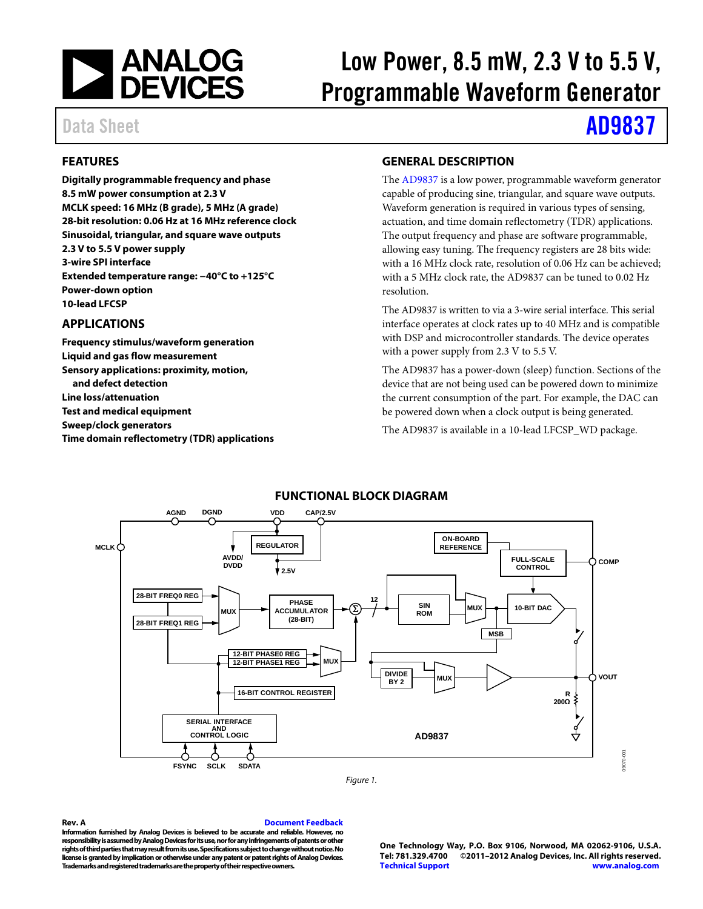

# Low Power, 8.5 mW, 2.3 V to 5.5 V, Programmable Waveform Generator

# Data Sheet **[AD9837](http://www.analog.com/AD9837)**

# <span id="page-0-0"></span>**FEATURES**

**Digitally programmable frequency and phase 8.5 mW power consumption at 2.3 V MCLK speed: 16 MHz (B grade), 5 MHz (A grade) 28-bit resolution: 0.06 Hz at 16 MHz reference clock Sinusoidal, triangular, and square wave outputs 2.3 V to 5.5 V power supply 3-wire SPI interface Extended temperature range: −40°C to +125°C Power-down option 10-lead LFCSP**

## <span id="page-0-1"></span>**APPLICATIONS**

**Frequency stimulus/waveform generation Liquid and gas flow measurement Sensory applications: proximity, motion, and defect detection Line loss/attenuation Test and medical equipment Sweep/clock generators Time domain reflectometry (TDR) applications**

## <span id="page-0-2"></span>**GENERAL DESCRIPTION**

The [AD9837](http://www.analog.com/AD9837) is a low power, programmable waveform generator capable of producing sine, triangular, and square wave outputs. Waveform generation is required in various types of sensing, actuation, and time domain reflectometry (TDR) applications. The output frequency and phase are software programmable, allowing easy tuning. The frequency registers are 28 bits wide: with a 16 MHz clock rate, resolution of 0.06 Hz can be achieved; with a 5 MHz clock rate, the AD9837 can be tuned to 0.02 Hz resolution.

The AD9837 is written to via a 3-wire serial interface. This serial interface operates at clock rates up to 40 MHz and is compatible with DSP and microcontroller standards. The device operates with a power supply from 2.3 V to 5.5 V.

The AD9837 has a power-down (sleep) function. Sections of the device that are not being used can be powered down to minimize the current consumption of the part. For example, the DAC can be powered down when a clock output is being generated.

The AD9837 is available in a 10-lead LFCSP\_WD package.

<span id="page-0-3"></span>

## **FUNCTIONAL BLOCK DIAGRAM**

*Figure 1.* 

#### **Rev. A [Document Feedback](https://form.analog.com/Form_Pages/feedback/documentfeedback.aspx?doc=%20AD9837.pdf&product=AD9837&rev=A)**

**Information furnished by Analog Devices is believed to be accurate and reliable. However, no responsibility is assumed by Analog Devices for its use, nor for any infringements of patents or other rights of third parties that may result from its use. Specifications subject to change without notice. No license is granted by implication or otherwise under any patent or patent rights of Analog Devices. Trademarks and registered trademarks are the property of their respective owners.**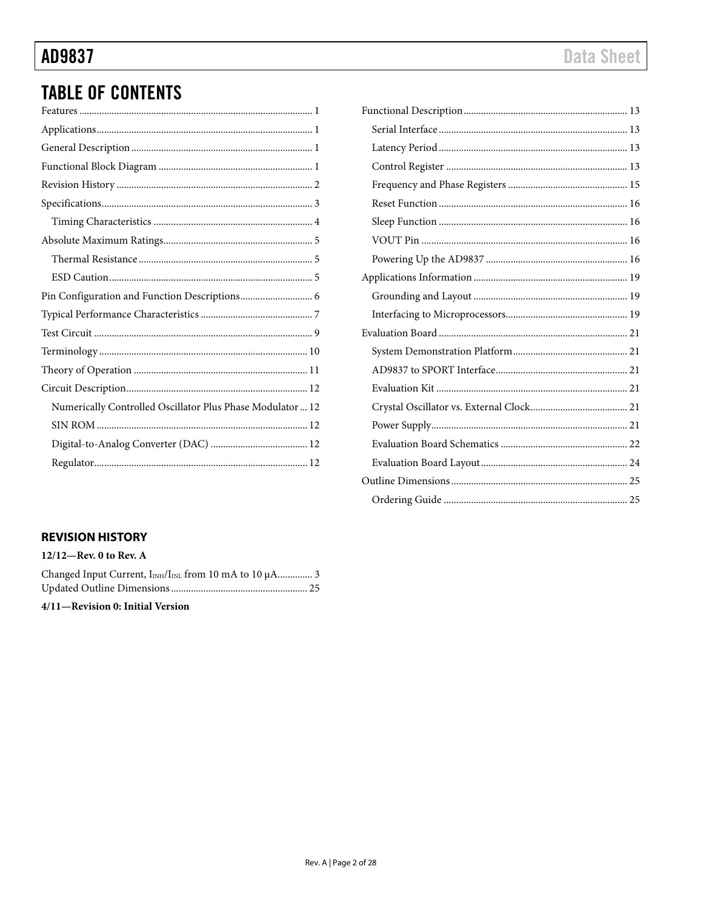# AD9837

# **TABLE OF CONTENTS**

| Numerically Controlled Oscillator Plus Phase Modulator  12 |
|------------------------------------------------------------|
|                                                            |
|                                                            |
|                                                            |

# **Data Sheet**

# <span id="page-1-0"></span>**REVISION HISTORY**

| $12/12$ —Rev. 0 to Rev. A                                                      |  |
|--------------------------------------------------------------------------------|--|
| Changed Input Current, I <sub>INH</sub> /I <sub>INL</sub> from 10 mA to 10 µA3 |  |
|                                                                                |  |

4/11-Revision 0: Initial Version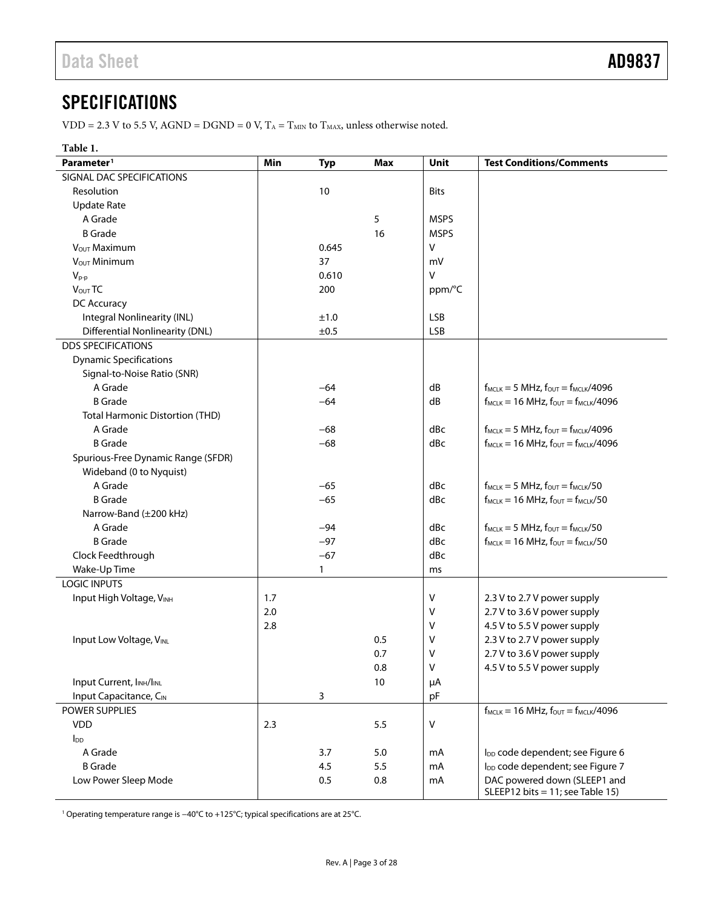# <span id="page-2-0"></span>**SPECIFICATIONS**

VDD = 2.3 V to 5.5 V, AGND = DGND = 0 V,  $T_A$  =  $T_{MIN}$  to  $T_{MAX}$ , unless otherwise noted.

### **Table 1.**

| Parameter <sup>1</sup>                            | Min | <b>Typ</b>   | <b>Max</b> | Unit         | <b>Test Conditions/Comments</b>                                  |
|---------------------------------------------------|-----|--------------|------------|--------------|------------------------------------------------------------------|
| SIGNAL DAC SPECIFICATIONS                         |     |              |            |              |                                                                  |
| Resolution                                        |     | 10           |            | <b>Bits</b>  |                                                                  |
| <b>Update Rate</b>                                |     |              |            |              |                                                                  |
| A Grade                                           |     |              | 5          | <b>MSPS</b>  |                                                                  |
| <b>B</b> Grade                                    |     |              | 16         | <b>MSPS</b>  |                                                                  |
| V <sub>OUT</sub> Maximum                          |     | 0.645        |            | $\mathsf{V}$ |                                                                  |
| VOUT Minimum                                      |     | 37           |            | mV           |                                                                  |
| $V_{p-p}$                                         |     | 0.610        |            | $\mathsf{V}$ |                                                                  |
| V <sub>OUT</sub> TC                               |     | 200          |            | ppm/°C       |                                                                  |
| DC Accuracy                                       |     |              |            |              |                                                                  |
| Integral Nonlinearity (INL)                       |     | ±1.0         |            | <b>LSB</b>   |                                                                  |
| <b>Differential Nonlinearity (DNL)</b>            |     | ±0.5         |            | <b>LSB</b>   |                                                                  |
| <b>DDS SPECIFICATIONS</b>                         |     |              |            |              |                                                                  |
| <b>Dynamic Specifications</b>                     |     |              |            |              |                                                                  |
| Signal-to-Noise Ratio (SNR)                       |     |              |            |              |                                                                  |
| A Grade                                           |     | $-64$        |            | dB           | $f_{MCLK} = 5 MHz$ , $f_{OUT} = f_{MCLK}/4096$                   |
| <b>B</b> Grade                                    |     | $-64$        |            | dB           | $f_{MCLK} = 16 \text{ MHz}$ , $f_{OUT} = f_{MCLK}/4096$          |
| <b>Total Harmonic Distortion (THD)</b>            |     |              |            |              |                                                                  |
| A Grade                                           |     | $-68$        |            | dBc          | $f_{MCLK} = 5 MHz$ , $f_{OUT} = f_{MCLK}/4096$                   |
| <b>B</b> Grade                                    |     | $-68$        |            | dBc          | $f_{MCLK}$ = 16 MHz, $f_{OUT}$ = $f_{MCLK}/4096$                 |
| Spurious-Free Dynamic Range (SFDR)                |     |              |            |              |                                                                  |
| Wideband (0 to Nyquist)                           |     |              |            |              |                                                                  |
| A Grade                                           |     | $-65$        |            | dBc          | $f_{MCLK} = 5 MHz$ , $f_{OUT} = f_{MCLK}/50$                     |
| <b>B</b> Grade                                    |     | $-65$        |            | dBc          | $f_{MCLK} = 16 MHz$ , $f_{OUT} = f_{MCLK}/50$                    |
| Narrow-Band (±200 kHz)                            |     |              |            |              |                                                                  |
| A Grade                                           |     | $-94$        |            | dBc          | $f_{MCLK} = 5 MHz$ , $f_{OUT} = f_{MCLK}/50$                     |
| <b>B</b> Grade                                    |     | $-97$        |            | dBc          | $f_{MCLK} = 16 MHz$ , $f_{OUT} = f_{MCLK}/50$                    |
| Clock Feedthrough                                 |     | $-67$        |            | dBc          |                                                                  |
| Wake-Up Time                                      |     | $\mathbf{1}$ |            | ms           |                                                                  |
| LOGIC INPUTS                                      |     |              |            |              |                                                                  |
| Input High Voltage, VINH                          | 1.7 |              |            | V            | 2.3 V to 2.7 V power supply                                      |
|                                                   | 2.0 |              |            | ٧            | 2.7 V to 3.6 V power supply                                      |
|                                                   | 2.8 |              |            | V            | 4.5 V to 5.5 V power supply                                      |
| Input Low Voltage, VINL                           |     |              | 0.5        | V            | 2.3 V to 2.7 V power supply                                      |
|                                                   |     |              | 0.7        | ٧            | 2.7 V to 3.6 V power supply                                      |
|                                                   |     |              | 0.8        | V            | 4.5 V to 5.5 V power supply                                      |
| Input Current, I <sub>INH</sub> /I <sub>INL</sub> |     |              | 10         | μA           |                                                                  |
| Input Capacitance, CIN                            |     | 3            |            | pF           |                                                                  |
| POWER SUPPLIES                                    |     |              |            |              | $f_{MCLK}$ = 16 MHz, $f_{OUT}$ = $f_{MCLK}$ /4096                |
| <b>VDD</b>                                        | 2.3 |              | 5.5        | V            |                                                                  |
| $I_{DD}$                                          |     |              |            |              |                                                                  |
| A Grade                                           |     | 3.7          | 5.0        | mA           | I <sub>DD</sub> code dependent; see Figure 6                     |
| <b>B</b> Grade                                    |     | 4.5          | 5.5        | mA           | l <sub>DD</sub> code dependent; see Figure 7                     |
| Low Power Sleep Mode                              |     | 0.5          | 0.8        | mA           | DAC powered down (SLEEP1 and<br>SLEEP12 bits = 11; see Table 15) |

<sup>1</sup> Operating temperature range is −40°C to +125°C; typical specifications are at 25°C.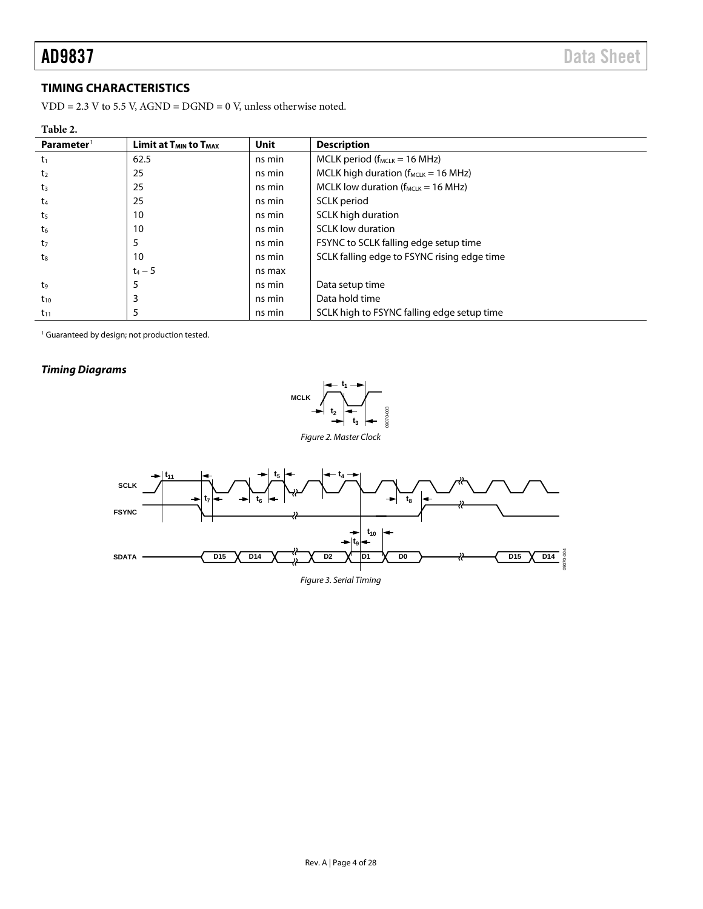## <span id="page-3-0"></span>**TIMING CHARACTERISTICS**

VDD = 2.3 V to 5.5 V, AGND =  $DGND = 0$  V, unless otherwise noted.

<span id="page-3-2"></span>

| н<br>н<br>n<br>w |  |
|------------------|--|
|                  |  |

| 1401 - 7.<br>Parameter <sup>1</sup> | <b>Limit at <math>T_{MIN}</math> to <math>T_{MAX}</math></b> | <b>Unit</b> | <b>Description</b>                          |
|-------------------------------------|--------------------------------------------------------------|-------------|---------------------------------------------|
| $t_1$                               | 62.5                                                         | ns min      | $MCLK$ period ( $f_{MCLK} = 16$ MHz)        |
| t <sub>2</sub>                      | 25                                                           | ns min      | MCLK high duration ( $f_{MCLK}$ = 16 MHz)   |
| $t_3$                               | 25                                                           | ns min      | MCLK low duration ( $f_{MCLK}$ = 16 MHz)    |
| t4                                  | 25                                                           | ns min      | SCLK period                                 |
| t5                                  | 10                                                           | ns min      | SCLK high duration                          |
| t6                                  | 10                                                           | ns min      | <b>SCLK</b> low duration                    |
| t <sub>7</sub>                      | 5                                                            | ns min      | FSYNC to SCLK falling edge setup time       |
| t.                                  | 10                                                           | ns min      | SCLK falling edge to FSYNC rising edge time |
|                                     | $t_4 - 5$                                                    | ns max      |                                             |
| t9                                  | 5                                                            | ns min      | Data setup time                             |
| $t_{10}$                            | 3                                                            | ns min      | Data hold time                              |
| $t_{11}$                            | 5                                                            | ns min      | SCLK high to FSYNC falling edge setup time  |

<sup>1</sup> Guaranteed by design; not production tested.

# *Timing Diagrams*





<span id="page-3-1"></span>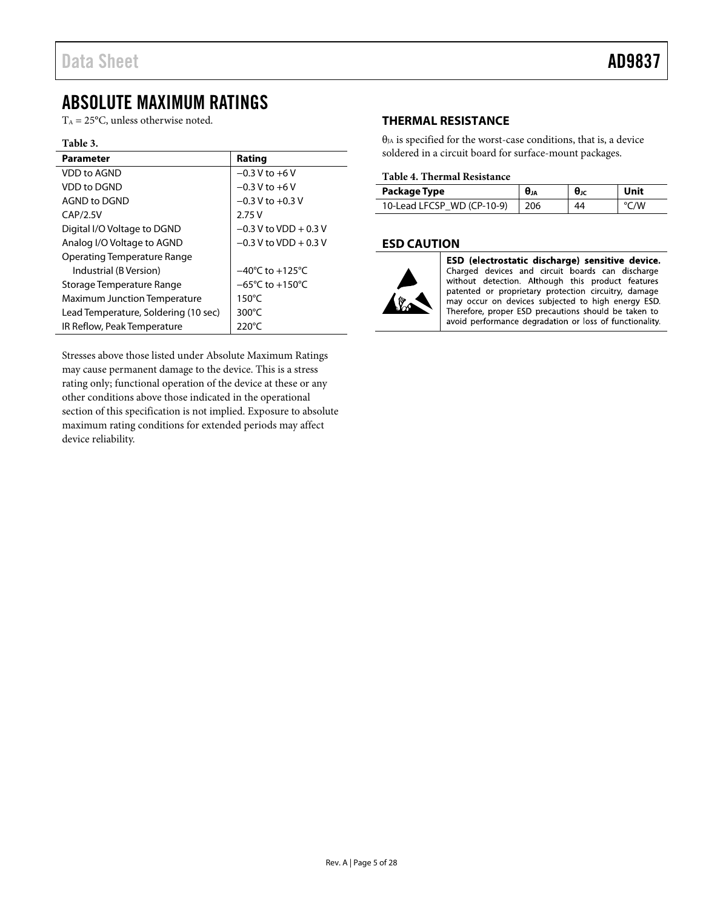# <span id="page-4-0"></span>ABSOLUTE MAXIMUM RATINGS

 $T_A = 25$ °C, unless otherwise noted.

#### **Table 3.**

| <b>Parameter</b>                     | Rating                               |
|--------------------------------------|--------------------------------------|
| VDD to AGND                          | $-0.3 V$ to $+6 V$                   |
| <b>VDD</b> to DGND                   | $-0.3 V$ to $+6 V$                   |
| AGND to DGND                         | $-0.3$ V to $+0.3$ V                 |
| CAP/2.5V                             | 2.75V                                |
| Digital I/O Voltage to DGND          | $-0.3$ V to VDD + 0.3 V              |
| Analog I/O Voltage to AGND           | $-0.3$ V to VDD + 0.3 V              |
| <b>Operating Temperature Range</b>   |                                      |
| Industrial (B Version)               | $-40^{\circ}$ C to $+125^{\circ}$ C  |
| Storage Temperature Range            | $-65^{\circ}$ C to +150 $^{\circ}$ C |
| <b>Maximum Junction Temperature</b>  | $150^{\circ}$ C                      |
| Lead Temperature, Soldering (10 sec) | $300^{\circ}$ C                      |
| IR Reflow, Peak Temperature          | 220°C                                |

Stresses above those listed under Absolute Maximum Ratings may cause permanent damage to the device. This is a stress rating only; functional operation of the device at these or any other conditions above those indicated in the operational section of this specification is not implied. Exposure to absolute maximum rating conditions for extended periods may affect device reliability.

# <span id="page-4-1"></span>**THERMAL RESISTANCE**

 $\theta_{JA}$  is specified for the worst-case conditions, that is, a device soldered in a circuit board for surface-mount packages.

### **Table 4. Thermal Resistance**

| Package Type               | θی  | $\theta_{\text{JC}}$ | Unit |
|----------------------------|-----|----------------------|------|
| 10-Lead LFCSP WD (CP-10-9) | 206 | 44                   | °C/W |

## <span id="page-4-2"></span>**ESD CAUTION**



ESD (electrostatic discharge) sensitive device. Charged devices and circuit boards can discharge without detection. Although this product features patented or proprietary protection circuitry, damage may occur on devices subjected to high energy ESD. Therefore, proper ESD precautions should be taken to avoid performance degradation or loss of functionality.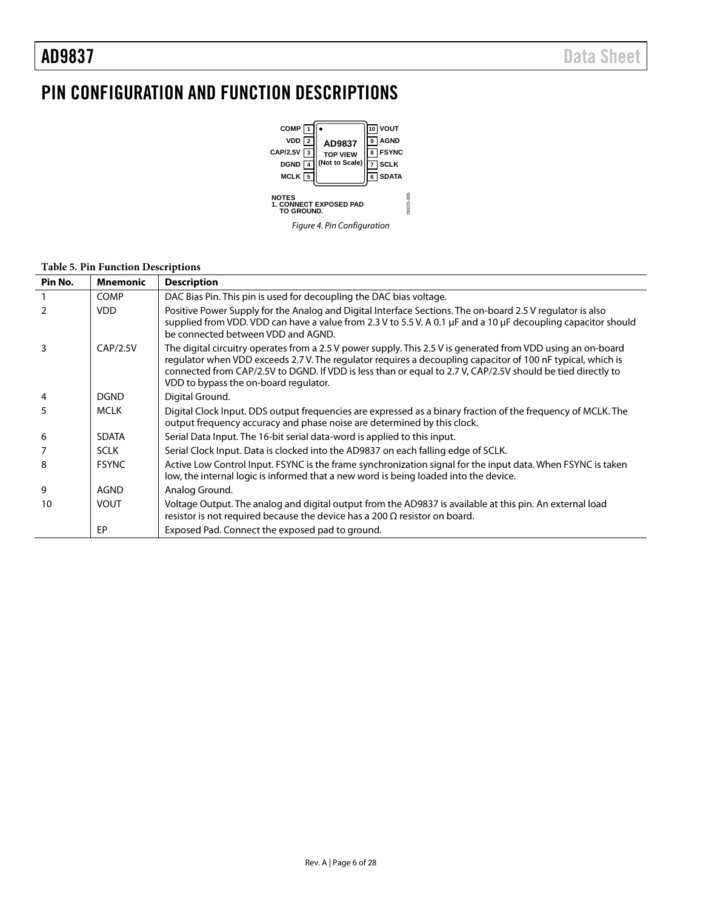# <span id="page-5-0"></span>PIN CONFIGURATION AND FUNCTION DESCRIPTIONS



### **Table 5. Pin Function Descriptions**

| Pin No.       | <b>Mnemonic</b> | <b>Description</b>                                                                                                                                                                                                                                                                                                                                                                  |
|---------------|-----------------|-------------------------------------------------------------------------------------------------------------------------------------------------------------------------------------------------------------------------------------------------------------------------------------------------------------------------------------------------------------------------------------|
|               | <b>COMP</b>     | DAC Bias Pin. This pin is used for decoupling the DAC bias voltage.                                                                                                                                                                                                                                                                                                                 |
| $\mathcal{P}$ | <b>VDD</b>      | Positive Power Supply for the Analog and Digital Interface Sections. The on-board 2.5 V regulator is also<br>supplied from VDD. VDD can have a value from 2.3 V to 5.5 V. A 0.1 µF and a 10 µF decoupling capacitor should<br>be connected between VDD and AGND.                                                                                                                    |
| 3             | CAP/2.5V        | The digital circuitry operates from a 2.5 V power supply. This 2.5 V is generated from VDD using an on-board<br>regulator when VDD exceeds 2.7 V. The regulator requires a decoupling capacitor of 100 nF typical, which is<br>connected from CAP/2.5V to DGND. If VDD is less than or equal to 2.7 V, CAP/2.5V should be tied directly to<br>VDD to bypass the on-board regulator. |
| 4             | <b>DGND</b>     | Digital Ground.                                                                                                                                                                                                                                                                                                                                                                     |
| 5.            | <b>MCLK</b>     | Digital Clock Input. DDS output frequencies are expressed as a binary fraction of the frequency of MCLK. The<br>output frequency accuracy and phase noise are determined by this clock.                                                                                                                                                                                             |
| 6             | <b>SDATA</b>    | Serial Data Input. The 16-bit serial data-word is applied to this input.                                                                                                                                                                                                                                                                                                            |
|               | <b>SCLK</b>     | Serial Clock Input. Data is clocked into the AD9837 on each falling edge of SCLK.                                                                                                                                                                                                                                                                                                   |
| 8             | <b>FSYNC</b>    | Active Low Control Input. FSYNC is the frame synchronization signal for the input data. When FSYNC is taken<br>low, the internal logic is informed that a new word is being loaded into the device.                                                                                                                                                                                 |
| 9             | AGND            | Analog Ground.                                                                                                                                                                                                                                                                                                                                                                      |
| 10            | <b>VOUT</b>     | Voltage Output. The analog and digital output from the AD9837 is available at this pin. An external load<br>resistor is not required because the device has a 200 $\Omega$ resistor on board.                                                                                                                                                                                       |
|               | EP              | Exposed Pad. Connect the exposed pad to ground.                                                                                                                                                                                                                                                                                                                                     |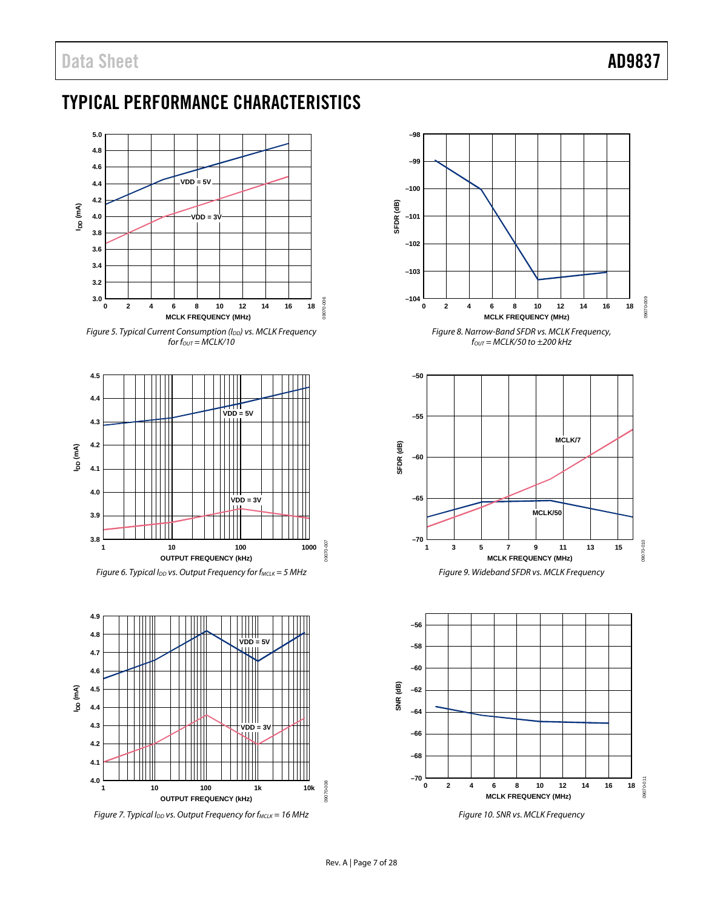# <span id="page-6-0"></span>TYPICAL PERFORMANCE CHARACTERISTICS



*Figure 5. Typical Current Consumption (IDD) vs. MCLK Frequency*  $for$   $for$   $=$   $MCLK/10$ 



<span id="page-6-1"></span>*Figure 6. Typical I<sub>DD</sub> vs. Output Frequency for f<sub>MCLK</sub> = 5 MHz* 



<span id="page-6-2"></span>*Figure 7. Typical I<sub>DD</sub> vs. Output Frequency for f<sub>MCLK</sub> = 16 MHz* 



*Figure 9. Wideband SFDR vs. MCLK Frequency*



*Figure 10. SNR vs. MCLK Frequency*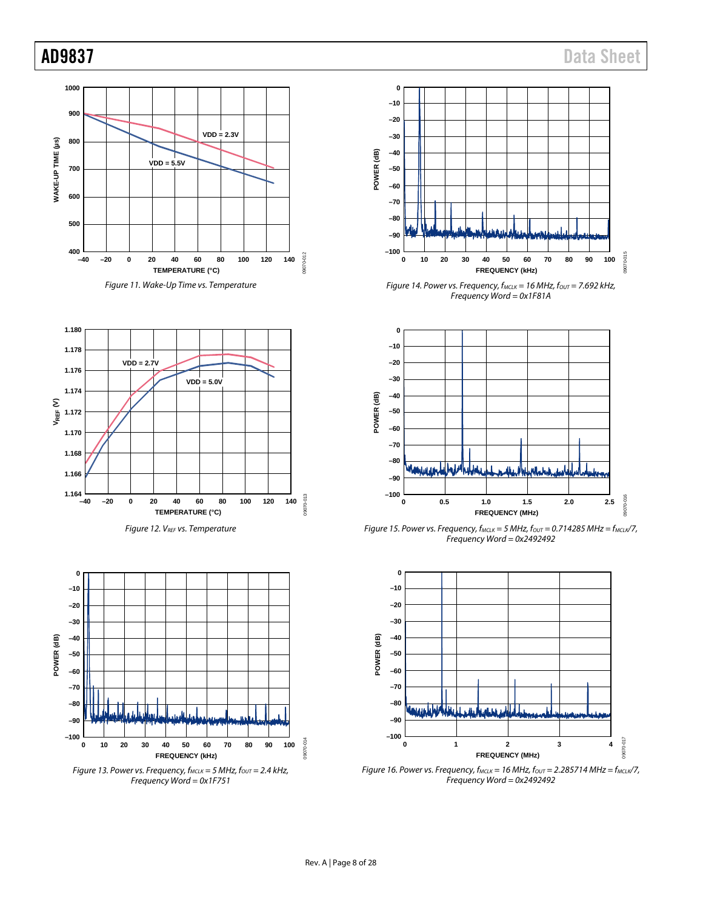









*Figure 13. Power vs. Frequency,*  $f_{MCLK} = 5$  *MHz,*  $f_{OUT} = 2.4$  *kHz, Frequency Word = 0x1F751*



*Figure 14. Power vs. Frequency, fMCLK = 16 MHz, fOUT = 7.692 kHz, Frequency Word = 0x1F81A*



*Figure 15. Power vs. Frequency, fMCLK = 5 MHz, fOUT = 0.714285 MHz = fMCLK/7, Frequency Word = 0x2492492*



*Figure 16. Power vs. Frequency, fMCLK = 16 MHz, fOUT = 2.285714 MHz = fMCLK/7, Frequency Word = 0x2492492*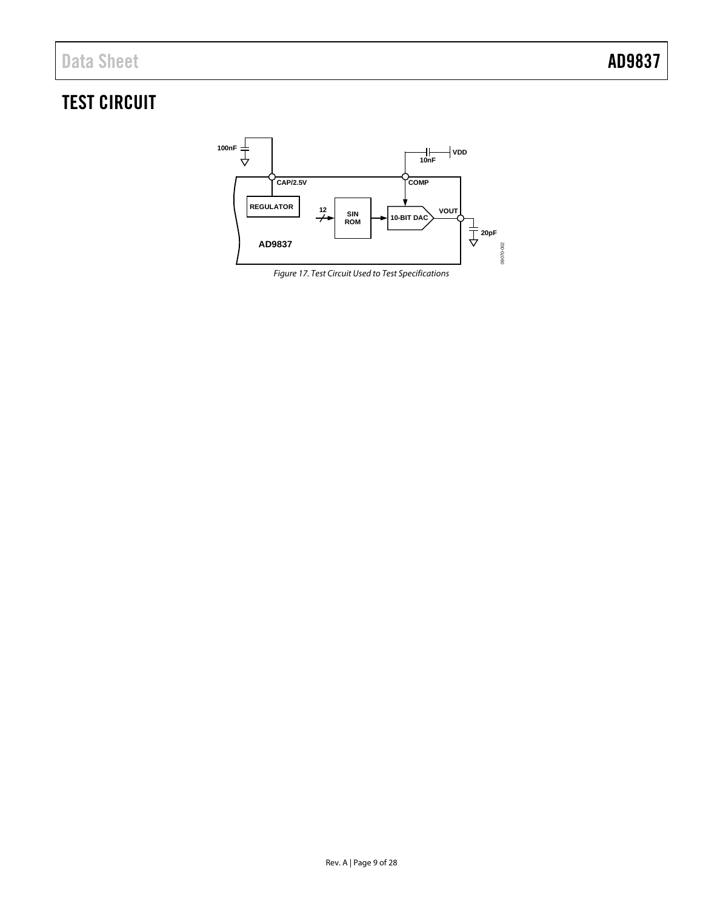# <span id="page-8-0"></span>TEST CIRCUIT



*Figure 17. Test Circuit Used to Test Specifications*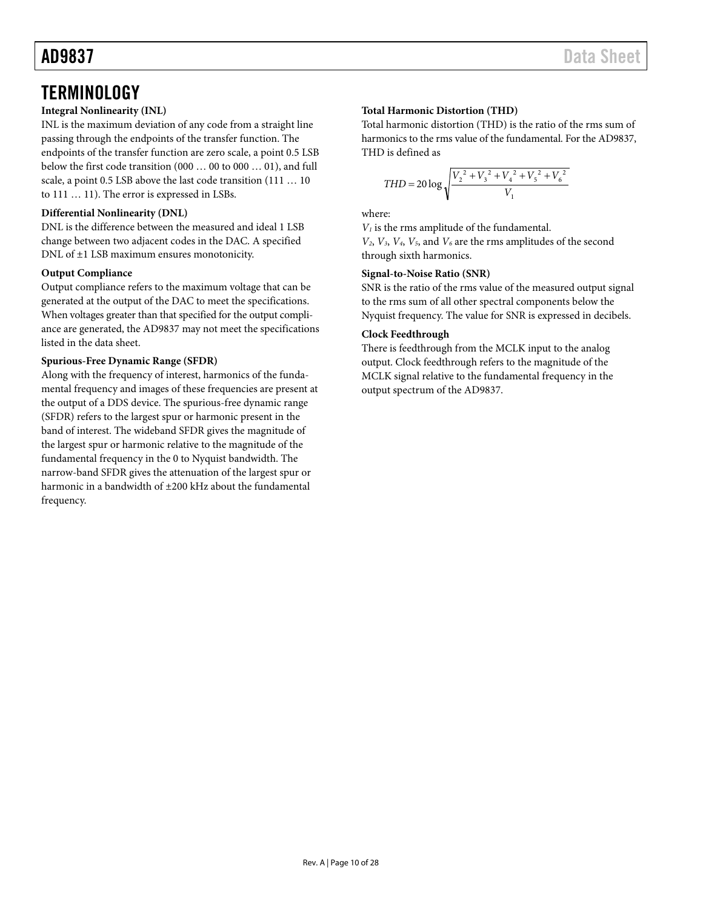# <span id="page-9-0"></span>**TERMINOLOGY**

## **Integral Nonlinearity (INL)**

INL is the maximum deviation of any code from a straight line passing through the endpoints of the transfer function. The endpoints of the transfer function are zero scale, a point 0.5 LSB below the first code transition (000 … 00 to 000 … 01), and full scale, a point 0.5 LSB above the last code transition (111 … 10 to 111 … 11). The error is expressed in LSBs.

## **Differential Nonlinearity (DNL)**

DNL is the difference between the measured and ideal 1 LSB change between two adjacent codes in the DAC. A specified DNL of ±1 LSB maximum ensures monotonicity.

### **Output Compliance**

Output compliance refers to the maximum voltage that can be generated at the output of the DAC to meet the specifications. When voltages greater than that specified for the output compliance are generated, the AD9837 may not meet the specifications listed in the data sheet.

## **Spurious-Free Dynamic Range (SFDR)**

Along with the frequency of interest, harmonics of the fundamental frequency and images of these frequencies are present at the output of a DDS device. The spurious-free dynamic range (SFDR) refers to the largest spur or harmonic present in the band of interest. The wideband SFDR gives the magnitude of the largest spur or harmonic relative to the magnitude of the fundamental frequency in the 0 to Nyquist bandwidth. The narrow-band SFDR gives the attenuation of the largest spur or harmonic in a bandwidth of  $\pm 200$  kHz about the fundamental frequency.

## **Total Harmonic Distortion (THD)**

Total harmonic distortion (THD) is the ratio of the rms sum of harmonics to the rms value of the fundamental. For the AD9837, THD is defined as

$$
THD = 20 \log \sqrt{\frac{V_2^2 + V_3^2 + V_4^2 + V_5^2 + V_6^2}{V_1}}
$$

where:

*V1* is the rms amplitude of the fundamental.

 $V_2$ ,  $V_3$ ,  $V_4$ ,  $V_5$ , and  $V_6$  are the rms amplitudes of the second through sixth harmonics.

### **Signal-to-Noise Ratio (SNR)**

SNR is the ratio of the rms value of the measured output signal to the rms sum of all other spectral components below the Nyquist frequency. The value for SNR is expressed in decibels.

### **Clock Feedthrough**

There is feedthrough from the MCLK input to the analog output. Clock feedthrough refers to the magnitude of the MCLK signal relative to the fundamental frequency in the output spectrum of the AD9837.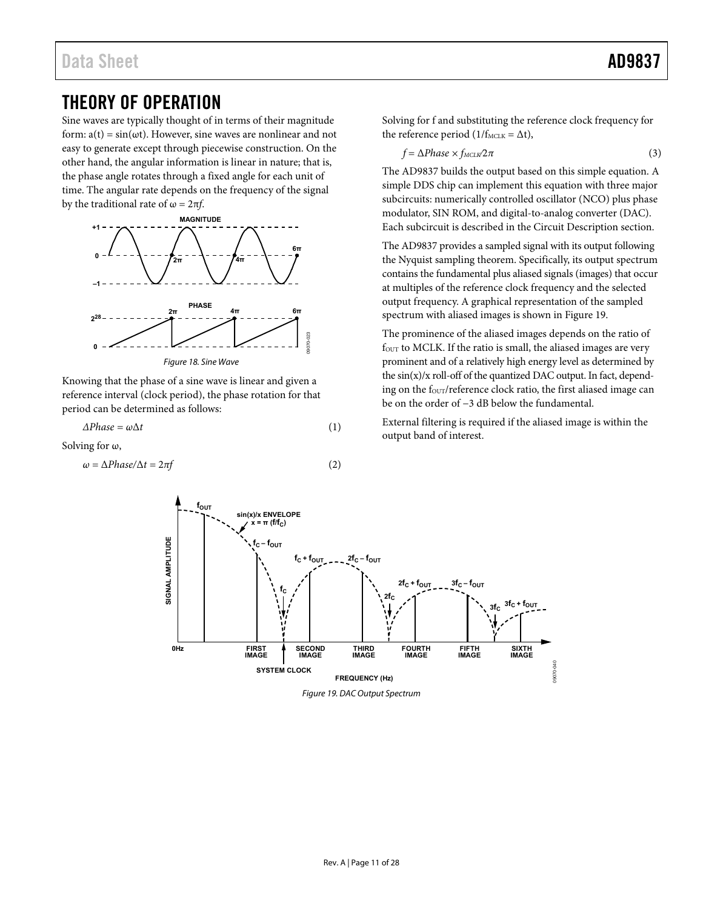# <span id="page-10-0"></span>THEORY OF OPERATION

Sine waves are typically thought of in terms of their magnitude form:  $a(t) = sin(\omega t)$ . However, sine waves are nonlinear and not easy to generate except through piecewise construction. On the other hand, the angular information is linear in nature; that is, the phase angle rotates through a fixed angle for each unit of time. The angular rate depends on the frequency of the signal by the traditional rate of  $\omega = 2\pi f$ .



Knowing that the phase of a sine wave is linear and given a reference interval (clock period), the phase rotation for that period can be determined as follows:

 $\Delta Phase = \omega \Delta t$  (1)

Solving for  $\omega$ ,

$$
\omega = \Delta Phase/\Delta t = 2\pi f \tag{2}
$$

Solving for f and substituting the reference clock frequency for the reference period ( $1/f_{\text{MCLK}} = \Delta t$ ),

$$
f = \Delta Phase \times f_{MCLW} 2\pi \tag{3}
$$

The AD9837 builds the output based on this simple equation. A simple DDS chip can implement this equation with three major subcircuits: numerically controlled oscillator (NCO) plus phase modulator, SIN ROM, and digital-to-analog converter (DAC). Each subcircuit is described in the [Circuit Description s](#page-11-0)ection.

The AD9837 provides a sampled signal with its output following the Nyquist sampling theorem. Specifically, its output spectrum contains the fundamental plus aliased signals (images) that occur at multiples of the reference clock frequency and the selected output frequency. A graphical representation of the sampled spectrum with aliased images is shown in [Figure 19.](#page-10-1) 

The prominence of the aliased images depends on the ratio of four to MCLK. If the ratio is small, the aliased images are very prominent and of a relatively high energy level as determined by the  $sin(x)/x$  roll-off of the quantized DAC output. In fact, depending on the four/reference clock ratio, the first aliased image can be on the order of −3 dB below the fundamental.

External filtering is required if the aliased image is within the output band of interest.

<span id="page-10-1"></span>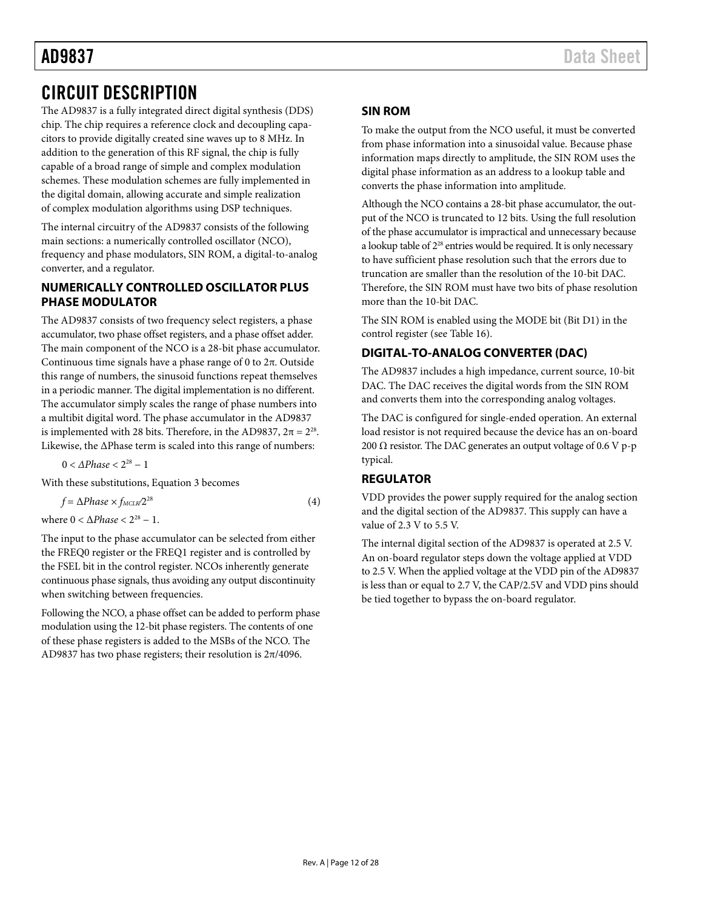# <span id="page-11-0"></span>CIRCUIT DESCRIPTION

The AD9837 is a fully integrated direct digital synthesis (DDS) chip. The chip requires a reference clock and decoupling capacitors to provide digitally created sine waves up to 8 MHz. In addition to the generation of this RF signal, the chip is fully capable of a broad range of simple and complex modulation schemes. These modulation schemes are fully implemented in the digital domain, allowing accurate and simple realization of complex modulation algorithms using DSP techniques.

The internal circuitry of the AD9837 consists of the following main sections: a numerically controlled oscillator (NCO), frequency and phase modulators, SIN ROM, a digital-to-analog converter, and a regulator.

## <span id="page-11-1"></span>**NUMERICALLY CONTROLLED OSCILLATOR PLUS PHASE MODULATOR**

The AD9837 consists of two frequency select registers, a phase accumulator, two phase offset registers, and a phase offset adder. The main component of the NCO is a 28-bit phase accumulator. Continuous time signals have a phase range of 0 to 2π. Outside this range of numbers, the sinusoid functions repeat themselves in a periodic manner. The digital implementation is no different. The accumulator simply scales the range of phase numbers into a multibit digital word. The phase accumulator in the AD9837 is implemented with 28 bits. Therefore, in the AD9837,  $2\pi = 2^{28}$ . Likewise, the ΔPhase term is scaled into this range of numbers:

 $0 < \triangle Phase < 2^{28} - 1$ 

With these substitutions, Equation 3 becomes

 $f = \Delta Phase \times f_{MCLW} 2^{28}$  (4)

where  $0 < \Delta Phase < 2^{28} - 1$ .

The input to the phase accumulator can be selected from either the FREQ0 register or the FREQ1 register and is controlled by the FSEL bit in the control register. NCOs inherently generate continuous phase signals, thus avoiding any output discontinuity when switching between frequencies.

Following the NCO, a phase offset can be added to perform phase modulation using the 12-bit phase registers. The contents of one of these phase registers is added to the MSBs of the NCO. The AD9837 has two phase registers; their resolution is 2π/4096.

# <span id="page-11-2"></span>**SIN ROM**

To make the output from the NCO useful, it must be converted from phase information into a sinusoidal value. Because phase information maps directly to amplitude, the SIN ROM uses the digital phase information as an address to a lookup table and converts the phase information into amplitude.

Although the NCO contains a 28-bit phase accumulator, the output of the NCO is truncated to 12 bits. Using the full resolution of the phase accumulator is impractical and unnecessary because a lookup table of 2<sup>28</sup> entries would be required. It is only necessary to have sufficient phase resolution such that the errors due to truncation are smaller than the resolution of the 10-bit DAC. Therefore, the SIN ROM must have two bits of phase resolution more than the 10-bit DAC.

The SIN ROM is enabled using the MODE bit (Bit D1) in the control register (see [Table 16\)](#page-15-5).

# <span id="page-11-3"></span>**DIGITAL-TO-ANALOG CONVERTER (DAC)**

The AD9837 includes a high impedance, current source, 10-bit DAC. The DAC receives the digital words from the SIN ROM and converts them into the corresponding analog voltages.

The DAC is configured for single-ended operation. An external load resistor is not required because the device has an on-board 200 Ω resistor. The DAC generates an output voltage of 0.6 V p-p typical.

# <span id="page-11-4"></span>**REGULATOR**

VDD provides the power supply required for the analog section and the digital section of the AD9837. This supply can have a value of 2.3 V to 5.5 V.

The internal digital section of the AD9837 is operated at 2.5 V. An on-board regulator steps down the voltage applied at VDD to 2.5 V. When the applied voltage at the VDD pin of the AD9837 is less than or equal to 2.7 V, the CAP/2.5V and VDD pins should be tied together to bypass the on-board regulator.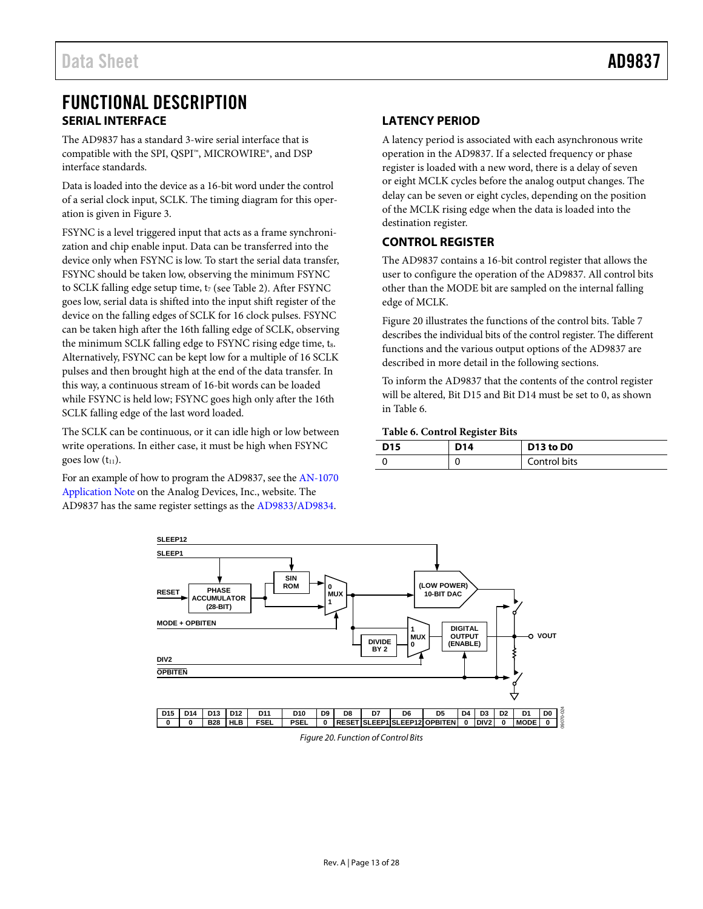# <span id="page-12-0"></span>FUNCTIONAL DESCRIPTION **SERIAL INTERFACE**

<span id="page-12-1"></span>The AD9837 has a standard 3-wire serial interface that is compatible with the SPI, QSPI™, MICROWIRE®, and DSP interface standards.

Data is loaded into the device as a 16-bit word under the control of a serial clock input, SCLK. The timing diagram for this operation is given i[n Figure 3.](#page-3-1)

FSYNC is a level triggered input that acts as a frame synchronization and chip enable input. Data can be transferred into the device only when FSYNC is low. To start the serial data transfer, FSYNC should be taken low, observing the minimum FSYNC to SCLK falling edge setup time, t<sub>7</sub> (see [Table 2\)](#page-3-2). After FSYNC goes low, serial data is shifted into the input shift register of the device on the falling edges of SCLK for 16 clock pulses. FSYNC can be taken high after the 16th falling edge of SCLK, observing the minimum SCLK falling edge to FSYNC rising edge time, ts. Alternatively, FSYNC can be kept low for a multiple of 16 SCLK pulses and then brought high at the end of the data transfer. In this way, a continuous stream of 16-bit words can be loaded while FSYNC is held low; FSYNC goes high only after the 16th SCLK falling edge of the last word loaded.

The SCLK can be continuous, or it can idle high or low between write operations. In either case, it must be high when FSYNC goes low  $(t_{11})$ .

For an example of how to program the AD9837, see th[e AN-1070](http://www.analog.com/AN-1070)  [Application Note](http://www.analog.com/AN-1070) on the Analog Devices, Inc., website. The AD9837 has the same register settings as the [AD9833/](http://www.analog.com/AD9833)[AD9834.](http://www.analog.com/AD9834)

# <span id="page-12-2"></span>**LATENCY PERIOD**

A latency period is associated with each asynchronous write operation in the AD9837. If a selected frequency or phase register is loaded with a new word, there is a delay of seven or eight MCLK cycles before the analog output changes. The delay can be seven or eight cycles, depending on the position of the MCLK rising edge when the data is loaded into the destination register.

## <span id="page-12-3"></span>**CONTROL REGISTER**

The AD9837 contains a 16-bit control register that allows the user to configure the operation of the AD9837. All control bits other than the MODE bit are sampled on the internal falling edge of MCLK.

[Figure 20](#page-12-4) illustrates the functions of the control bits. [Table 7](#page-13-0) describes the individual bits of the control register. The different functions and the various output options of the AD9837 are described in more detail in the following sections.

To inform the AD9837 that the contents of the control register will be altered, Bit D15 and Bit D14 must be set to 0, as shown in [Table 6.](#page-12-5)

#### <span id="page-12-5"></span>**Table 6. Control Register Bits**

| D <sub>15</sub> | D <sub>14</sub> | D13 to D0    |
|-----------------|-----------------|--------------|
|                 |                 | Control bits |

<span id="page-12-4"></span>

*Figure 20. Function of Control Bits*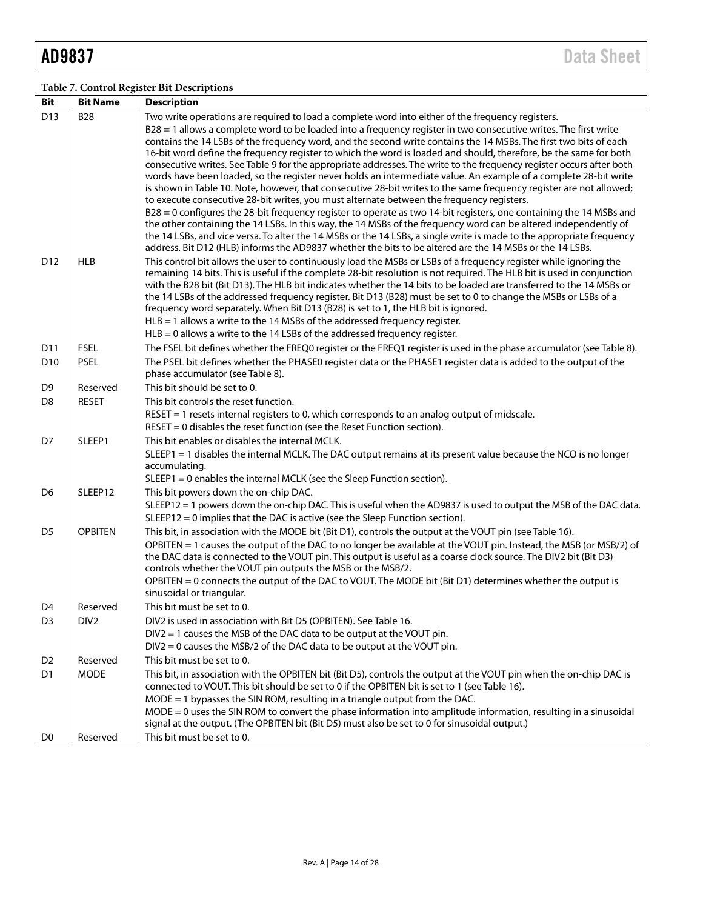## <span id="page-13-0"></span>**Table 7. Control Register Bit Descriptions**

| Bit             | <b>Bit Name</b>  | <b>Description</b>                                                                                                                                                                                                                                                                                                                                                                                                                                                                                                                                                                                                                                                                                                                                                                                                                                                                                                                                                                                                                                                                                                                                                                                                                                                                                  |
|-----------------|------------------|-----------------------------------------------------------------------------------------------------------------------------------------------------------------------------------------------------------------------------------------------------------------------------------------------------------------------------------------------------------------------------------------------------------------------------------------------------------------------------------------------------------------------------------------------------------------------------------------------------------------------------------------------------------------------------------------------------------------------------------------------------------------------------------------------------------------------------------------------------------------------------------------------------------------------------------------------------------------------------------------------------------------------------------------------------------------------------------------------------------------------------------------------------------------------------------------------------------------------------------------------------------------------------------------------------|
| D <sub>13</sub> | <b>B28</b>       | Two write operations are required to load a complete word into either of the frequency registers.<br>B28 = 1 allows a complete word to be loaded into a frequency register in two consecutive writes. The first write<br>contains the 14 LSBs of the frequency word, and the second write contains the 14 MSBs. The first two bits of each<br>16-bit word define the frequency register to which the word is loaded and should, therefore, be the same for both<br>consecutive writes. See Table 9 for the appropriate addresses. The write to the frequency register occurs after both<br>words have been loaded, so the register never holds an intermediate value. An example of a complete 28-bit write<br>is shown in Table 10. Note, however, that consecutive 28-bit writes to the same frequency register are not allowed;<br>to execute consecutive 28-bit writes, you must alternate between the frequency registers.<br>B28 = 0 configures the 28-bit frequency register to operate as two 14-bit registers, one containing the 14 MSBs and<br>the other containing the 14 LSBs. In this way, the 14 MSBs of the frequency word can be altered independently of<br>the 14 LSBs, and vice versa. To alter the 14 MSBs or the 14 LSBs, a single write is made to the appropriate frequency |
| D <sub>12</sub> | <b>HLB</b>       | address. Bit D12 (HLB) informs the AD9837 whether the bits to be altered are the 14 MSBs or the 14 LSBs.<br>This control bit allows the user to continuously load the MSBs or LSBs of a frequency register while ignoring the<br>remaining 14 bits. This is useful if the complete 28-bit resolution is not required. The HLB bit is used in conjunction<br>with the B28 bit (Bit D13). The HLB bit indicates whether the 14 bits to be loaded are transferred to the 14 MSBs or<br>the 14 LSBs of the addressed frequency register. Bit D13 (B28) must be set to 0 to change the MSBs or LSBs of a<br>frequency word separately. When Bit D13 (B28) is set to 1, the HLB bit is ignored.<br>$HLB = 1$ allows a write to the 14 MSBs of the addressed frequency register.<br>$HLB = 0$ allows a write to the 14 LSBs of the addressed frequency register.                                                                                                                                                                                                                                                                                                                                                                                                                                           |
| D11             | <b>FSEL</b>      | The FSEL bit defines whether the FREQ0 register or the FREQ1 register is used in the phase accumulator (see Table 8).                                                                                                                                                                                                                                                                                                                                                                                                                                                                                                                                                                                                                                                                                                                                                                                                                                                                                                                                                                                                                                                                                                                                                                               |
| D <sub>10</sub> | <b>PSEL</b>      | The PSEL bit defines whether the PHASE0 register data or the PHASE1 register data is added to the output of the<br>phase accumulator (see Table 8).                                                                                                                                                                                                                                                                                                                                                                                                                                                                                                                                                                                                                                                                                                                                                                                                                                                                                                                                                                                                                                                                                                                                                 |
| D <sub>9</sub>  | Reserved         | This bit should be set to 0.                                                                                                                                                                                                                                                                                                                                                                                                                                                                                                                                                                                                                                                                                                                                                                                                                                                                                                                                                                                                                                                                                                                                                                                                                                                                        |
| D <sub>8</sub>  | <b>RESET</b>     | This bit controls the reset function.<br>RESET = 1 resets internal registers to 0, which corresponds to an analog output of midscale.<br>$RESET = 0$ disables the reset function (see the Reset Function section).                                                                                                                                                                                                                                                                                                                                                                                                                                                                                                                                                                                                                                                                                                                                                                                                                                                                                                                                                                                                                                                                                  |
| D7              | SLEEP1           | This bit enables or disables the internal MCLK.<br>SLEEP1 = 1 disables the internal MCLK. The DAC output remains at its present value because the NCO is no longer<br>accumulating.<br>SLEEP1 = 0 enables the internal MCLK (see the Sleep Function section).                                                                                                                                                                                                                                                                                                                                                                                                                                                                                                                                                                                                                                                                                                                                                                                                                                                                                                                                                                                                                                       |
| D <sub>6</sub>  | SLEEP12          | This bit powers down the on-chip DAC.<br>SLEEP12 = 1 powers down the on-chip DAC. This is useful when the AD9837 is used to output the MSB of the DAC data.<br>SLEEP12 = 0 implies that the DAC is active (see the Sleep Function section).                                                                                                                                                                                                                                                                                                                                                                                                                                                                                                                                                                                                                                                                                                                                                                                                                                                                                                                                                                                                                                                         |
| D <sub>5</sub>  | <b>OPBITEN</b>   | This bit, in association with the MODE bit (Bit D1), controls the output at the VOUT pin (see Table 16).<br>OPBITEN = 1 causes the output of the DAC to no longer be available at the VOUT pin. Instead, the MSB (or MSB/2) of<br>the DAC data is connected to the VOUT pin. This output is useful as a coarse clock source. The DIV2 bit (Bit D3)<br>controls whether the VOUT pin outputs the MSB or the MSB/2.<br>OPBITEN = 0 connects the output of the DAC to VOUT. The MODE bit (Bit D1) determines whether the output is<br>sinusoidal or triangular.                                                                                                                                                                                                                                                                                                                                                                                                                                                                                                                                                                                                                                                                                                                                        |
| D <sub>4</sub>  | Reserved         | This bit must be set to 0.                                                                                                                                                                                                                                                                                                                                                                                                                                                                                                                                                                                                                                                                                                                                                                                                                                                                                                                                                                                                                                                                                                                                                                                                                                                                          |
| D <sub>3</sub>  | DIV <sub>2</sub> | DIV2 is used in association with Bit D5 (OPBITEN). See Table 16.<br>$DIV2 = 1$ causes the MSB of the DAC data to be output at the VOUT pin.<br>DIV2 = 0 causes the MSB/2 of the DAC data to be output at the VOUT pin.                                                                                                                                                                                                                                                                                                                                                                                                                                                                                                                                                                                                                                                                                                                                                                                                                                                                                                                                                                                                                                                                              |
| D <sub>2</sub>  | Reserved         | This bit must be set to 0.                                                                                                                                                                                                                                                                                                                                                                                                                                                                                                                                                                                                                                                                                                                                                                                                                                                                                                                                                                                                                                                                                                                                                                                                                                                                          |
| D <sub>1</sub>  | <b>MODE</b>      | This bit, in association with the OPBITEN bit (Bit D5), controls the output at the VOUT pin when the on-chip DAC is<br>connected to VOUT. This bit should be set to 0 if the OPBITEN bit is set to 1 (see Table 16).<br>$MODE = 1$ bypasses the SIN ROM, resulting in a triangle output from the DAC.<br>MODE = 0 uses the SIN ROM to convert the phase information into amplitude information, resulting in a sinusoidal<br>signal at the output. (The OPBITEN bit (Bit D5) must also be set to 0 for sinusoidal output.)                                                                                                                                                                                                                                                                                                                                                                                                                                                                                                                                                                                                                                                                                                                                                                          |
| D <sub>0</sub>  | Reserved         | This bit must be set to 0.                                                                                                                                                                                                                                                                                                                                                                                                                                                                                                                                                                                                                                                                                                                                                                                                                                                                                                                                                                                                                                                                                                                                                                                                                                                                          |
|                 |                  |                                                                                                                                                                                                                                                                                                                                                                                                                                                                                                                                                                                                                                                                                                                                                                                                                                                                                                                                                                                                                                                                                                                                                                                                                                                                                                     |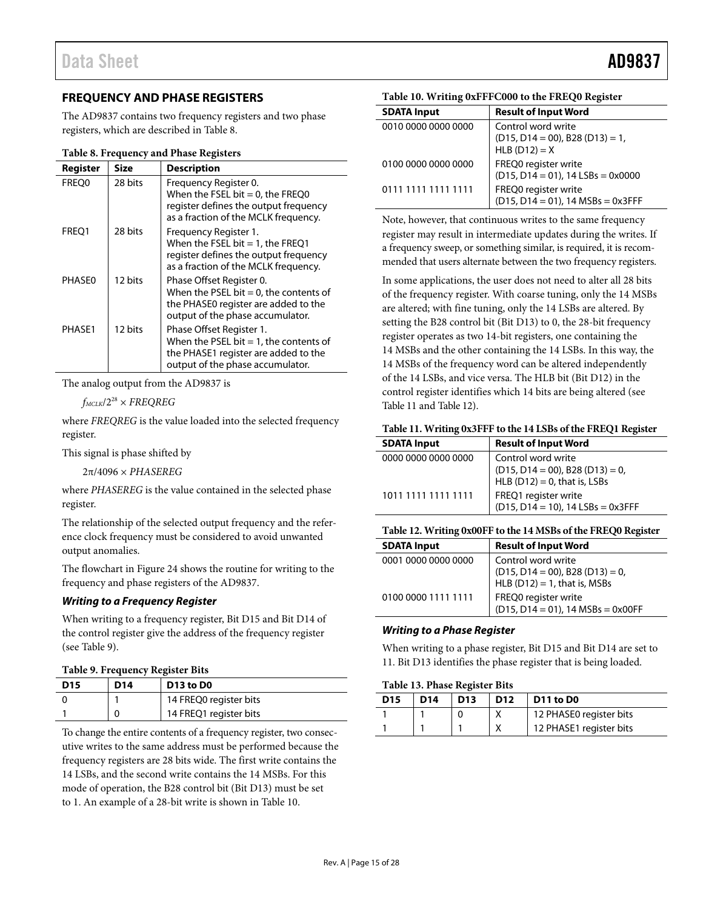# <span id="page-14-0"></span>**FREQUENCY AND PHASE REGISTERS**

The AD9837 contains two frequency registers and two phase registers, which are described in [Table 8.](#page-14-3)

#### <span id="page-14-3"></span>**Table 8. Frequency and Phase Registers**

| Register      | Size    | <b>Description</b>                                                                                                                                |
|---------------|---------|---------------------------------------------------------------------------------------------------------------------------------------------------|
| FREO0         | 28 bits | Frequency Register 0.<br>When the FSEL bit = $0$ , the FREQ0<br>register defines the output frequency<br>as a fraction of the MCLK frequency.     |
| FREO1         | 28 bits | Frequency Register 1.<br>When the FSEL bit $= 1$ , the FREQ1<br>register defines the output frequency<br>as a fraction of the MCLK frequency.     |
| <b>PHASE0</b> | 12 hits | Phase Offset Register 0.<br>When the PSEL bit $= 0$ , the contents of<br>the PHASE0 register are added to the<br>output of the phase accumulator. |
| PHASF1        | 12 hits | Phase Offset Register 1.<br>When the PSEL bit $= 1$ , the contents of<br>the PHASE1 register are added to the<br>output of the phase accumulator. |

The analog output from the AD9837 is

 $f_{MCLK}/2^{28}$   $\times$  FREQREG

where *FREQREG* is the value loaded into the selected frequency register.

This signal is phase shifted by

2π/4096 × *PHASEREG*

where *PHASEREG* is the value contained in the selected phase register.

The relationship of the selected output frequency and the reference clock frequency must be considered to avoid unwanted output anomalies.

The flowchart i[n Figure 24](#page-17-0) shows the routine for writing to the frequency and phase registers of the AD9837.

#### *Writing to a Frequency Register*

When writing to a frequency register, Bit D15 and Bit D14 of the control register give the address of the frequency register (see [Table 9\)](#page-14-1).

#### <span id="page-14-1"></span>**Table 9. Frequency Register Bits**

| <b>D15</b> | D14 | D <sub>13</sub> to D <sub>0</sub> |
|------------|-----|-----------------------------------|
|            |     | 14 FREQ0 register bits            |
|            |     | 14 FREQ1 register bits            |

To change the entire contents of a frequency register, two consecutive writes to the same address must be performed because the frequency registers are 28 bits wide. The first write contains the 14 LSBs, and the second write contains the 14 MSBs. For this mode of operation, the B28 control bit (Bit D13) must be set to 1. An example of a 28-bit write is shown i[n Table 10.](#page-14-2)

#### <span id="page-14-2"></span>**Table 10. Writing 0xFFFC000 to the FREQ0 Register**

| <b>SDATA Input</b>  | <b>Result of Input Word</b>                                                    |
|---------------------|--------------------------------------------------------------------------------|
| 0010 0000 0000 0000 | Control word write<br>$(D15, D14 = 00)$ , B28 $(D13) = 1$ ,<br>HLB $(D12) = X$ |
| 0100 0000 0000 0000 | FREQ0 register write<br>$(D15, D14 = 01)$ , 14 LSBs = 0x0000                   |
| 0111 1111 1111 1111 | FREQ0 register write<br>$(D15, D14 = 01)$ , 14 MSBs = 0x3FFF                   |

Note, however, that continuous writes to the same frequency register may result in intermediate updates during the writes. If a frequency sweep, or something similar, is required, it is recommended that users alternate between the two frequency registers.

In some applications, the user does not need to alter all 28 bits of the frequency register. With coarse tuning, only the 14 MSBs are altered; with fine tuning, only the 14 LSBs are altered. By setting the B28 control bit (Bit D13) to 0, the 28-bit frequency register operates as two 14-bit registers, one containing the 14 MSBs and the other containing the 14 LSBs. In this way, the 14 MSBs of the frequency word can be altered independently of the 14 LSBs, and vice versa. The HLB bit (Bit D12) in the control register identifies which 14 bits are being altered (see [Table 11](#page-14-4) an[d Table 12\)](#page-14-5).

#### <span id="page-14-4"></span>**Table 11. Writing 0x3FFF to the 14 LSBs of the FREQ1 Register**

| <b>SDATA Input</b>  | <b>Result of Input Word</b>                                              |
|---------------------|--------------------------------------------------------------------------|
| 0000 0000 0000 0000 | Control word write                                                       |
|                     | $(D15, D14 = 00)$ , B28 $(D13) = 0$ ,<br>HLB $(D12) = 0$ , that is, LSBs |
|                     |                                                                          |
| 1011 1111 1111 1111 | FREQ1 register write                                                     |
|                     | $(D15, D14 = 10)$ , 14 LSBs = 0x3FFF                                     |

#### <span id="page-14-5"></span>**Table 12. Writing 0x00FF to the 14 MSBs of the FREQ0 Register**

| <b>SDATA Input</b>  | <b>Result of Input Word</b>                                                                    |
|---------------------|------------------------------------------------------------------------------------------------|
| 0001 0000 0000 0000 | Control word write<br>$(D15, D14 = 00)$ , B28 $(D13) = 0$ ,<br>HLB $(D12) = 1$ , that is, MSBs |
| 0100 0000 1111 1111 | FREQ0 register write<br>$(D15, D14 = 01)$ , 14 MSBs = 0x00FF                                   |
|                     |                                                                                                |

#### *Writing to a Phase Register*

When writing to a phase register, Bit D15 and Bit D14 are set to 11. Bit D13 identifies the phase register that is being loaded.

#### **Table 13. Phase Register Bits**

| D <sub>15</sub> | D14 | D <sub>13</sub> | D <sub>12</sub> | D11 to D0               |
|-----------------|-----|-----------------|-----------------|-------------------------|
|                 |     |                 |                 | 12 PHASE0 register bits |
|                 |     |                 |                 | 12 PHASE1 register bits |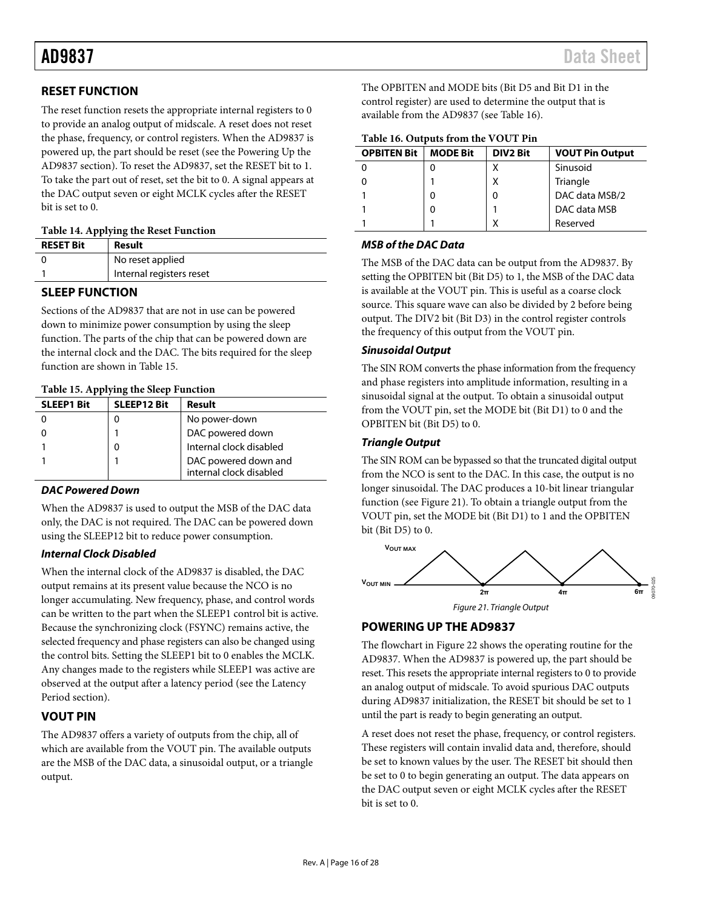# <span id="page-15-0"></span>**RESET FUNCTION**

The reset function resets the appropriate internal registers to 0 to provide an analog output of midscale. A reset does not reset the phase, frequency, or control registers. When the AD9837 is powered up, the part should be reset (see the [Powering Up the](#page-15-3)  [AD9837](#page-15-3) section). To reset the AD9837, set the RESET bit to 1. To take the part out of reset, set the bit to 0. A signal appears at the DAC output seven or eight MCLK cycles after the RESET bit is set to 0.

|  | Table 14. Applying the Reset Function |  |  |
|--|---------------------------------------|--|--|
|--|---------------------------------------|--|--|

| <b>RESET Bit</b> | Result                   |
|------------------|--------------------------|
|                  | No reset applied         |
|                  | Internal registers reset |

# <span id="page-15-1"></span>**SLEEP FUNCTION**

Sections of the AD9837 that are not in use can be powered down to minimize power consumption by using the sleep function. The parts of the chip that can be powered down are the internal clock and the DAC. The bits required for the sleep function are shown i[n Table 15.](#page-15-4)

| $10000$ $10000$ $10000$ $1000$ $1000$ $1000$ $1000$ |                    |                         |  |  |
|-----------------------------------------------------|--------------------|-------------------------|--|--|
| <b>SLEEP1 Bit</b>                                   | <b>SLEEP12 Bit</b> | Result                  |  |  |
|                                                     |                    | No power-down           |  |  |
|                                                     |                    | DAC powered down        |  |  |
|                                                     | 0                  | Internal clock disabled |  |  |
|                                                     |                    | DAC powered down and    |  |  |
|                                                     |                    | internal clock disabled |  |  |

### <span id="page-15-4"></span>**Table 15. Applying the Sleep Function**

## *DAC Powered Down*

When the AD9837 is used to output the MSB of the DAC data only, the DAC is not required. The DAC can be powered down using the SLEEP12 bit to reduce power consumption.

## *Internal Clock Disabled*

When the internal clock of the AD9837 is disabled, the DAC output remains at its present value because the NCO is no longer accumulating. New frequency, phase, and control words can be written to the part when the SLEEP1 control bit is active. Because the synchronizing clock (FSYNC) remains active, the selected frequency and phase registers can also be changed using the control bits. Setting the SLEEP1 bit to 0 enables the MCLK. Any changes made to the registers while SLEEP1 was active are observed at the output after a latency period (see th[e Latency](#page-12-2) [Period](#page-12-2) section).

# <span id="page-15-2"></span>**VOUT PIN**

The AD9837 offers a variety of outputs from the chip, all of which are available from the VOUT pin. The available outputs are the MSB of the DAC data, a sinusoidal output, or a triangle output.

The OPBITEN and MODE bits (Bit D5 and Bit D1 in the control register) are used to determine the output that is available from the AD9837 (see [Table 16\)](#page-15-5).

<span id="page-15-5"></span>

|  |  |  | Table 16. Outputs from the VOUT Pin |
|--|--|--|-------------------------------------|
|--|--|--|-------------------------------------|

| <b>OPBITEN Bit</b> | <b>MODE Bit</b> | <b>DIV2 Bit</b> | <b>VOUT Pin Output</b> |  |
|--------------------|-----------------|-----------------|------------------------|--|
|                    |                 | χ               | Sinusoid               |  |
|                    |                 | χ               | Triangle               |  |
|                    | 0               | 0               | DAC data MSB/2         |  |
|                    | 0               |                 | DAC data MSB           |  |
|                    |                 |                 | Reserved               |  |

### *MSB of the DAC Data*

The MSB of the DAC data can be output from the AD9837. By setting the OPBITEN bit (Bit D5) to 1, the MSB of the DAC data is available at the VOUT pin. This is useful as a coarse clock source. This square wave can also be divided by 2 before being output. The DIV2 bit (Bit D3) in the control register controls the frequency of this output from the VOUT pin.

### *Sinusoidal Output*

The SIN ROM converts the phase information from the frequency and phase registers into amplitude information, resulting in a sinusoidal signal at the output. To obtain a sinusoidal output from the VOUT pin, set the MODE bit (Bit D1) to 0 and the OPBITEN bit (Bit D5) to 0.

### *Triangle Output*

The SIN ROM can be bypassed so that the truncated digital output from the NCO is sent to the DAC. In this case, the output is no longer sinusoidal. The DAC produces a 10-bit linear triangular function (see [Figure 21\)](#page-15-6). To obtain a triangle output from the VOUT pin, set the MODE bit (Bit D1) to 1 and the OPBITEN bit (Bit D5) to 0.



# <span id="page-15-6"></span><span id="page-15-3"></span>**POWERING UP THE AD9837**

The flowchart i[n Figure 22](#page-16-0) shows the operating routine for the AD9837. When the AD9837 is powered up, the part should be reset. This resets the appropriate internal registers to 0 to provide an analog output of midscale. To avoid spurious DAC outputs during AD9837 initialization, the RESET bit should be set to 1 until the part is ready to begin generating an output.

A reset does not reset the phase, frequency, or control registers. These registers will contain invalid data and, therefore, should be set to known values by the user. The RESET bit should then be set to 0 to begin generating an output. The data appears on the DAC output seven or eight MCLK cycles after the RESET bit is set to 0.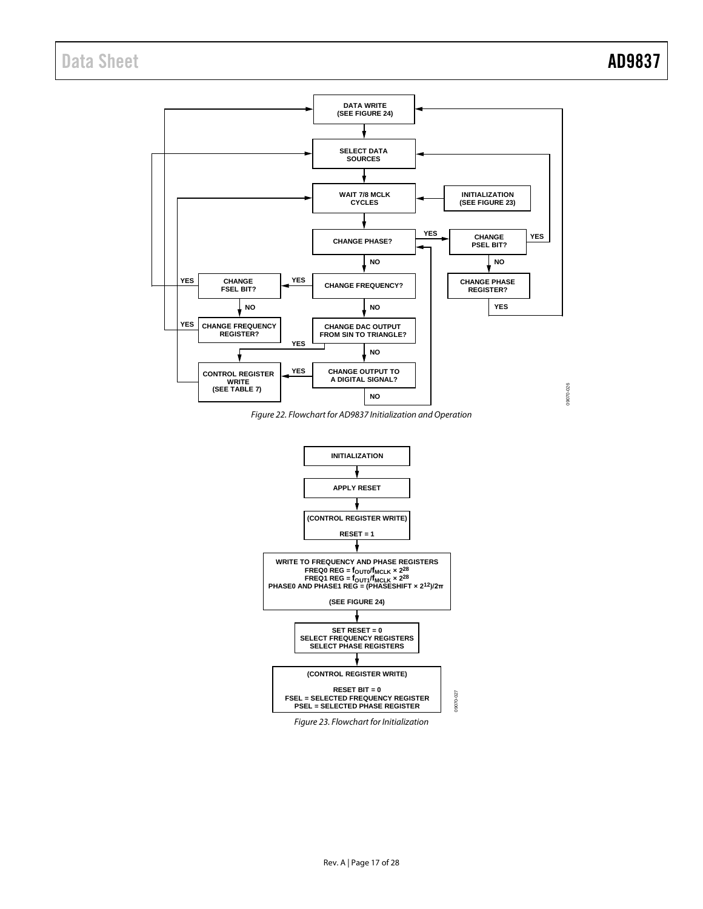# Data Sheet **AD9837**



<span id="page-16-0"></span>*Figure 22. Flowchart for AD9837 Initialization and Operation*



*Figure 23. Flowchart for Initialization*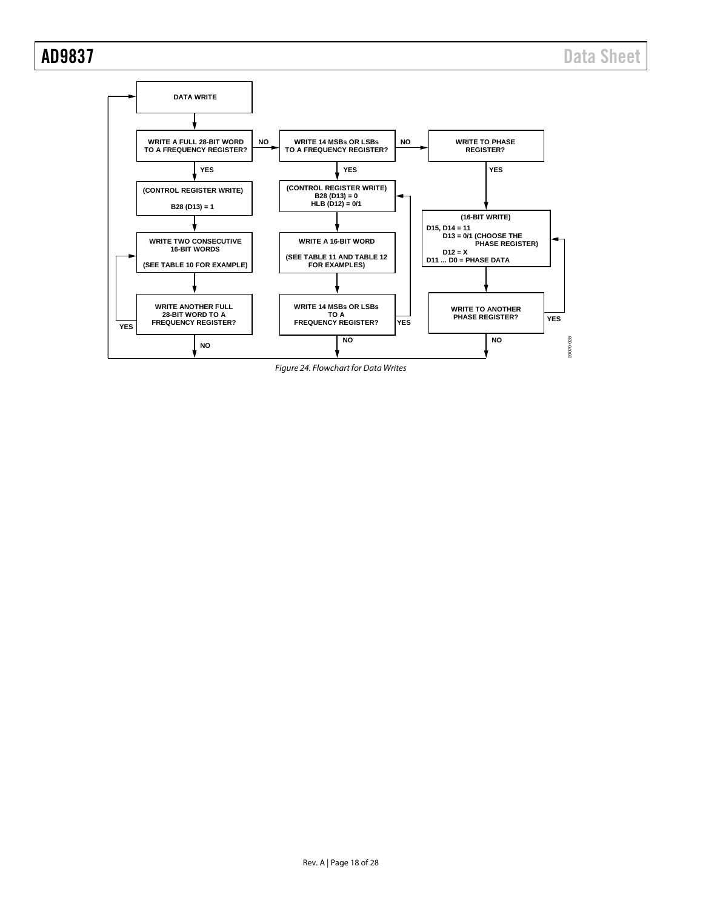

<span id="page-17-0"></span>*Figure 24. Flowchart for Data Writes*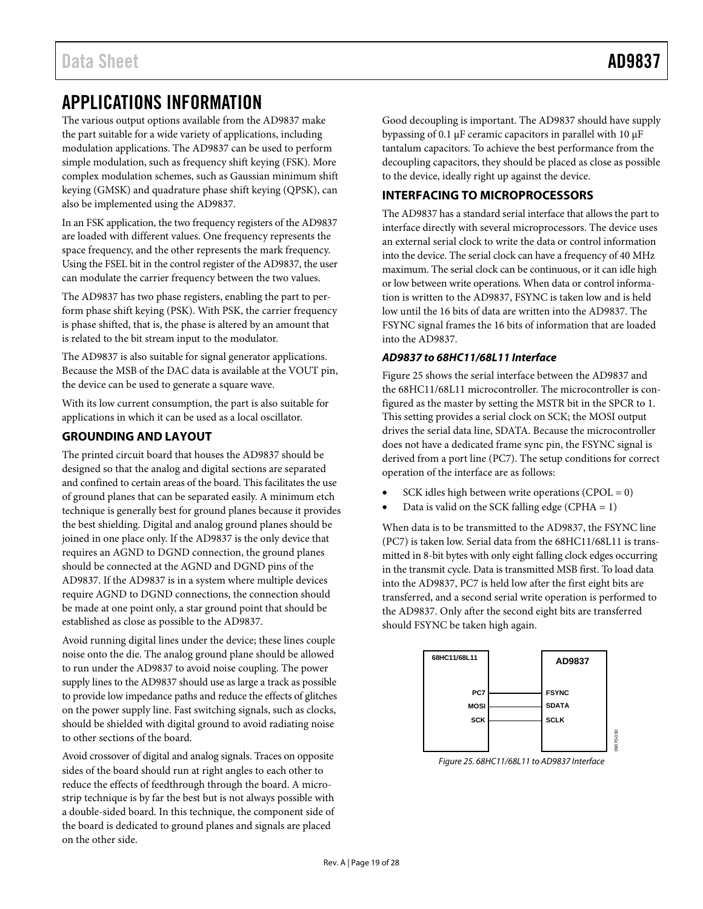# <span id="page-18-0"></span>APPLICATIONS INFORMATION

The various output options available from the AD9837 make the part suitable for a wide variety of applications, including modulation applications. The AD9837 can be used to perform simple modulation, such as frequency shift keying (FSK). More complex modulation schemes, such as Gaussian minimum shift keying (GMSK) and quadrature phase shift keying (QPSK), can also be implemented using the AD9837.

In an FSK application, the two frequency registers of the AD9837 are loaded with different values. One frequency represents the space frequency, and the other represents the mark frequency. Using the FSEL bit in the control register of the AD9837, the user can modulate the carrier frequency between the two values.

The AD9837 has two phase registers, enabling the part to perform phase shift keying (PSK). With PSK, the carrier frequency is phase shifted, that is, the phase is altered by an amount that is related to the bit stream input to the modulator.

The AD9837 is also suitable for signal generator applications. Because the MSB of the DAC data is available at the VOUT pin, the device can be used to generate a square wave.

With its low current consumption, the part is also suitable for applications in which it can be used as a local oscillator.

# <span id="page-18-1"></span>**GROUNDING AND LAYOUT**

The printed circuit board that houses the AD9837 should be designed so that the analog and digital sections are separated and confined to certain areas of the board. This facilitates the use of ground planes that can be separated easily. A minimum etch technique is generally best for ground planes because it provides the best shielding. Digital and analog ground planes should be joined in one place only. If the AD9837 is the only device that requires an AGND to DGND connection, the ground planes should be connected at the AGND and DGND pins of the AD9837. If the AD9837 is in a system where multiple devices require AGND to DGND connections, the connection should be made at one point only, a star ground point that should be established as close as possible to the AD9837.

Avoid running digital lines under the device; these lines couple noise onto the die. The analog ground plane should be allowed to run under the AD9837 to avoid noise coupling. The power supply lines to the AD9837 should use as large a track as possible to provide low impedance paths and reduce the effects of glitches on the power supply line. Fast switching signals, such as clocks, should be shielded with digital ground to avoid radiating noise to other sections of the board.

Avoid crossover of digital and analog signals. Traces on opposite sides of the board should run at right angles to each other to reduce the effects of feedthrough through the board. A microstrip technique is by far the best but is not always possible with a double-sided board. In this technique, the component side of the board is dedicated to ground planes and signals are placed on the other side.

Good decoupling is important. The AD9837 should have supply bypassing of 0.1 μF ceramic capacitors in parallel with 10 μF tantalum capacitors. To achieve the best performance from the decoupling capacitors, they should be placed as close as possible to the device, ideally right up against the device.

## <span id="page-18-2"></span>**INTERFACING TO MICROPROCESSORS**

The AD9837 has a standard serial interface that allows the part to interface directly with several microprocessors. The device uses an external serial clock to write the data or control information into the device. The serial clock can have a frequency of 40 MHz maximum. The serial clock can be continuous, or it can idle high or low between write operations. When data or control information is written to the AD9837, FSYNC is taken low and is held low until the 16 bits of data are written into the AD9837. The FSYNC signal frames the 16 bits of information that are loaded into the AD9837.

### *AD9837 to 68HC11/68L11 Interface*

[Figure 25](#page-18-3) shows the serial interface between the AD9837 and the 68HC11/68L11 microcontroller. The microcontroller is configured as the master by setting the MSTR bit in the SPCR to 1. This setting provides a serial clock on SCK; the MOSI output drives the serial data line, SDATA. Because the microcontroller does not have a dedicated frame sync pin, the FSYNC signal is derived from a port line (PC7). The setup conditions for correct operation of the interface are as follows:

- SCK idles high between write operations  $(CPOL = 0)$
- Data is valid on the SCK falling edge (CPHA  $= 1$ )

When data is to be transmitted to the AD9837, the FSYNC line (PC7) is taken low. Serial data from the 68HC11/68L11 is transmitted in 8-bit bytes with only eight falling clock edges occurring in the transmit cycle. Data is transmitted MSB first. To load data into the AD9837, PC7 is held low after the first eight bits are transferred, and a second serial write operation is performed to the AD9837. Only after the second eight bits are transferred should FSYNC be taken high again.



<span id="page-18-3"></span>*Figure 25. 68HC11/68L11 to AD9837 Interface*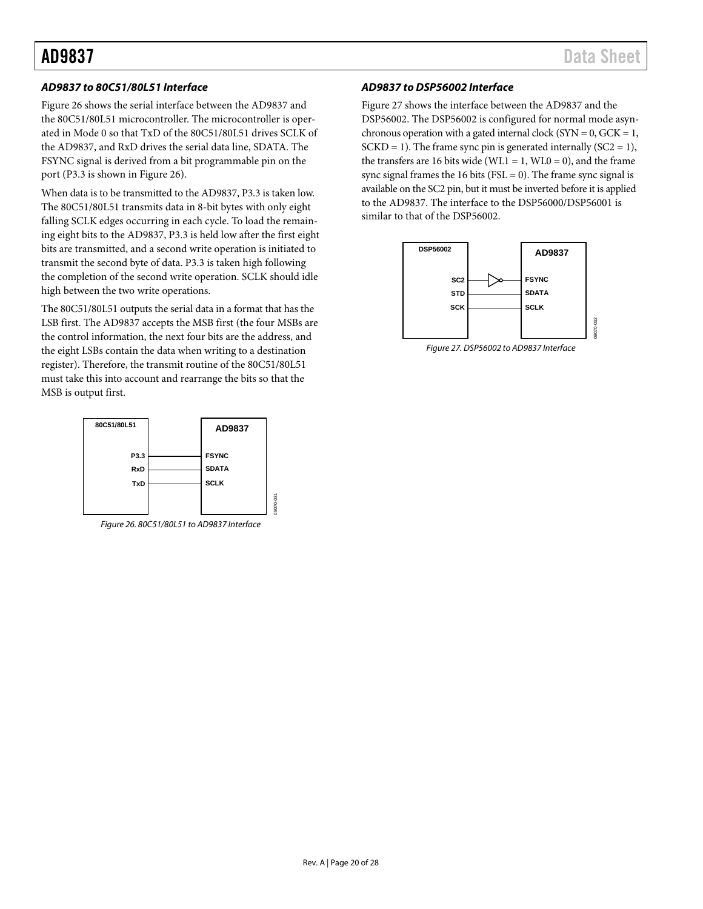### *AD9837 to 80C51/80L51 Interface*

[Figure 26](#page-19-0) shows the serial interface between the AD9837 and the 80C51/80L51 microcontroller. The microcontroller is operated in Mode 0 so that TxD of the 80C51/80L51 drives SCLK of the AD9837, and RxD drives the serial data line, SDATA. The FSYNC signal is derived from a bit programmable pin on the port (P3.3 is shown in [Figure 26\)](#page-19-0).

When data is to be transmitted to the AD9837, P3.3 is taken low. The 80C51/80L51 transmits data in 8-bit bytes with only eight falling SCLK edges occurring in each cycle. To load the remaining eight bits to the AD9837, P3.3 is held low after the first eight bits are transmitted, and a second write operation is initiated to transmit the second byte of data. P3.3 is taken high following the completion of the second write operation. SCLK should idle high between the two write operations.

The 80C51/80L51 outputs the serial data in a format that has the LSB first. The AD9837 accepts the MSB first (the four MSBs are the control information, the next four bits are the address, and the eight LSBs contain the data when writing to a destination register). Therefore, the transmit routine of the 80C51/80L51 must take this into account and rearrange the bits so that the MSB is output first.



<span id="page-19-0"></span>*Figure 26. 80C51/80L51 to AD9837 Interface*

#### *AD9837 to DSP56002 Interface*

[Figure 27](#page-19-1) shows the interface between the AD9837 and the DSP56002. The DSP56002 is configured for normal mode asynchronous operation with a gated internal clock ( $SYN = 0$ ,  $GCK = 1$ ,  $SCKD = 1$ ). The frame sync pin is generated internally  $(SC2 = 1)$ , the transfers are 16 bits wide (WL1 = 1, WL0 = 0), and the frame sync signal frames the 16 bits ( $FSL = 0$ ). The frame sync signal is available on the SC2 pin, but it must be inverted before it is applied to the AD9837. The interface to the DSP56000/DSP56001 is similar to that of the DSP56002.



<span id="page-19-1"></span>*Figure 27. DSP56002 to AD9837 Interface*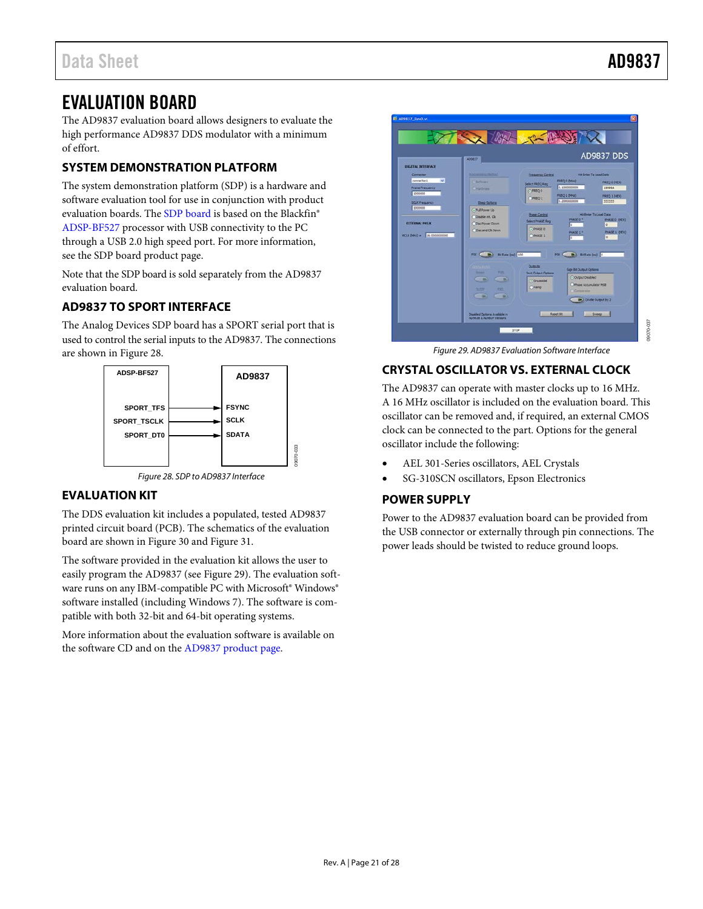# <span id="page-20-0"></span>EVALUATION BOARD

The AD9837 evaluation board allows designers to evaluate the high performance AD9837 DDS modulator with a minimum of effort.

# <span id="page-20-1"></span>**SYSTEM DEMONSTRATION PLATFORM**

The system demonstration platform (SDP) is a hardware and software evaluation tool for use in conjunction with product evaluation boards. The [SDP board](http://www.analog.com/en/embedded-processing-dsp/blackfin/bf527sdp-hw/processors/product.html) is based on the Blackfin® [ADSP-BF527](http://www.analog.com/ADSP-BF527) processor with USB connectivity to the PC through a USB 2.0 high speed port. For more information, see the [SDP board](http://www.analog.com/en/embedded-processing-dsp/blackfin/bf527sdp-hw/processors/product.html) product page.

Note that the [SDP board](http://www.analog.com/en/embedded-processing-dsp/blackfin/bf527sdp-hw/processors/product.html) is sold separately from the AD9837 evaluation board.

# <span id="page-20-2"></span>**AD9837 TO SPORT INTERFACE**

The Analog Devices SDP board has a SPORT serial port that is used to control the serial inputs to the AD9837. The connections are shown i[n Figure 28.](#page-20-6)



#### *Figure 28. SDP to AD9837 Interface*

## <span id="page-20-6"></span><span id="page-20-3"></span>**EVALUATION KIT**

The DDS evaluation kit includes a populated, tested AD9837 printed circuit board (PCB). The schematics of the evaluation board are shown in [Figure 30](#page-21-1) an[d Figure 31.](#page-22-0)

The software provided in the evaluation kit allows the user to easily program the AD9837 (se[e Figure 29\)](#page-20-7). The evaluation software runs on any IBM-compatible PC with Microsoft® Windows® software installed (including Windows 7). The software is compatible with both 32-bit and 64-bit operating systems.

More information about the evaluation software is available on the software CD and on th[e AD9837 product page.](http://www.analog.com/AD9837)



*Figure 29. AD9837 Evaluation Software Interface*

# <span id="page-20-7"></span><span id="page-20-4"></span>**CRYSTAL OSCILLATOR VS. EXTERNAL CLOCK**

The AD9837 can operate with master clocks up to 16 MHz. A 16 MHz oscillator is included on the evaluation board. This oscillator can be removed and, if required, an external CMOS clock can be connected to the part. Options for the general oscillator include the following:

- AEL 301-Series oscillators, AEL Crystals
- SG-310SCN oscillators, Epson Electronics

### <span id="page-20-5"></span>**POWER SUPPLY**

Power to the AD9837 evaluation board can be provided from the USB connector or externally through pin connections. The power leads should be twisted to reduce ground loops.

09070-037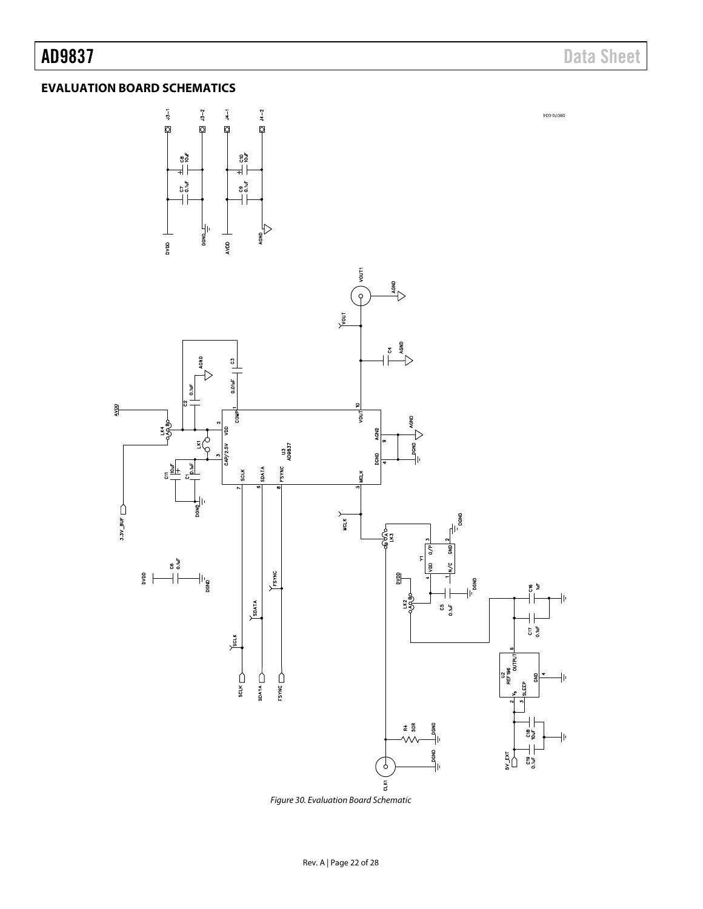AD9837 Data Sheet

09070-034

# <span id="page-21-0"></span>**EVALUATION BOARD SCHEMATICS**





<span id="page-21-1"></span>*Figure 30. Evaluation Board Schematic*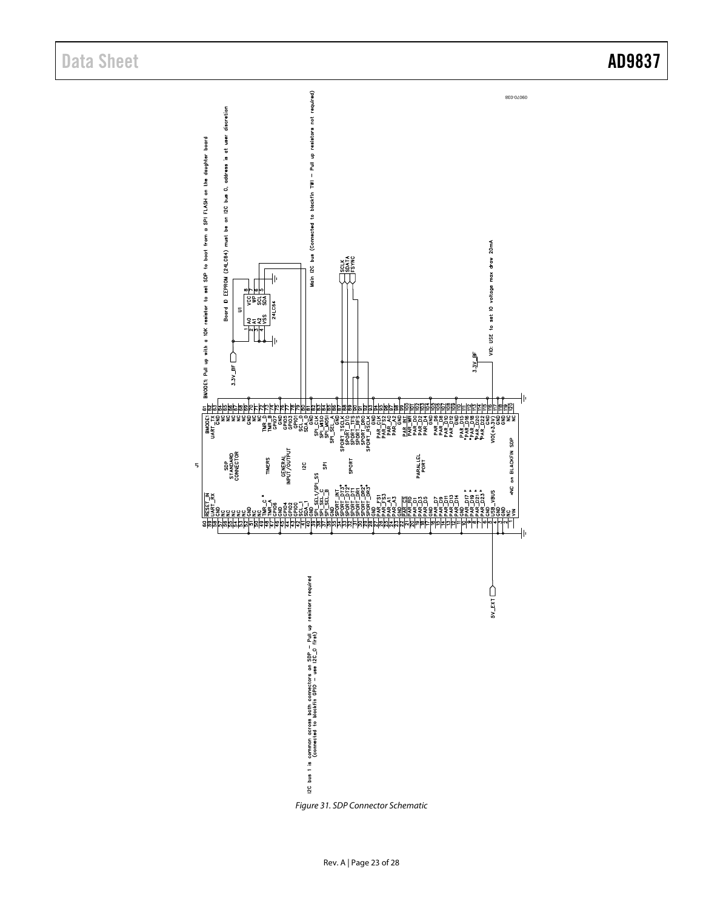$\overline{5}$ 



<span id="page-22-0"></span>*Figure 31. SDP Connector Schematic*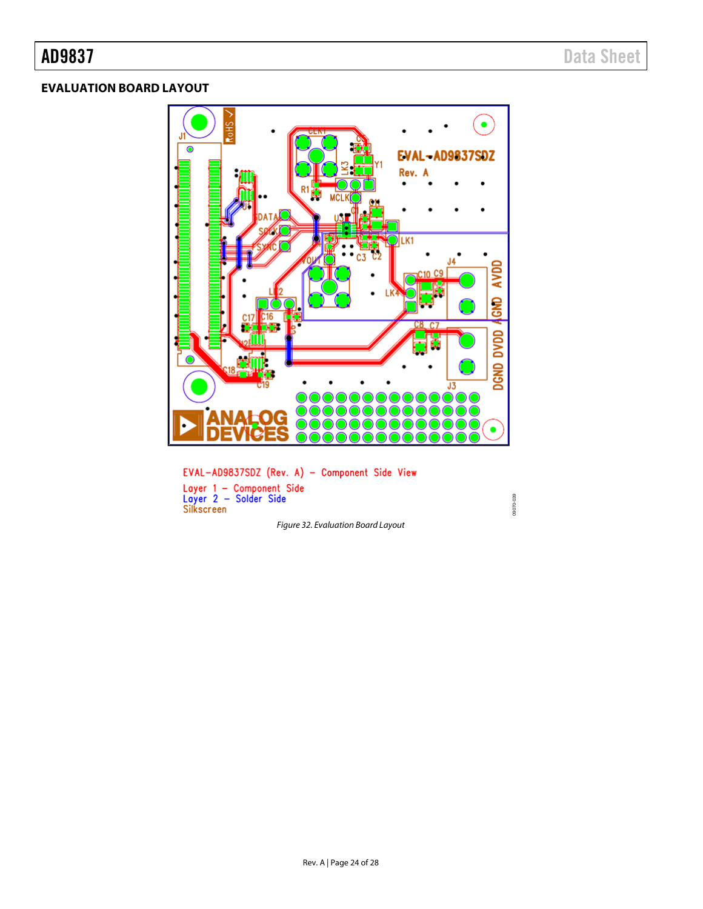# <span id="page-23-0"></span>**EVALUATION BOARD LAYOUT**



EVAL-AD9837SDZ (Rev. A) - Component Side View Layer 1 - Component Side<br>Layer 2 - Solder Side<br>Silkscreen

*Figure 32. Evaluation Board Layout*

09070-039

09070-039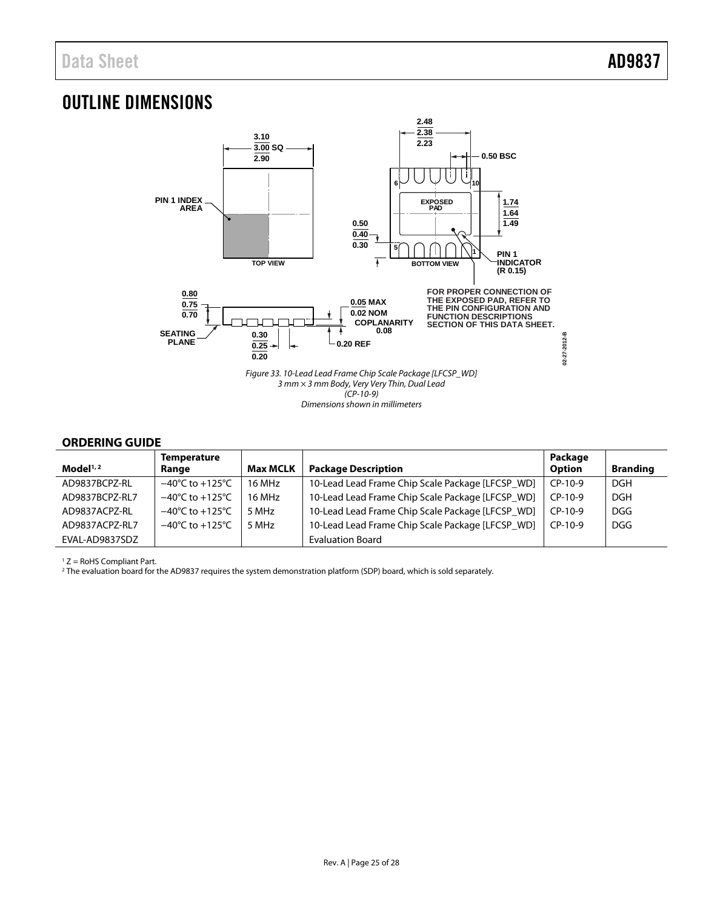# <span id="page-24-0"></span>OUTLINE DIMENSIONS



## <span id="page-24-1"></span>**ORDERING GUIDE**

| Model <sup>1,2</sup> | <b>Temperature</b><br>Range         | <b>Max MCLK</b> | <b>Package Description</b>                       | Package<br><b>Option</b> | <b>Branding</b> |
|----------------------|-------------------------------------|-----------------|--------------------------------------------------|--------------------------|-----------------|
| AD9837BCPZ-RL        | $-40^{\circ}$ C to $+125^{\circ}$ C | 16 MHz          | 10-Lead Lead Frame Chip Scale Package [LFCSP WD] | $CP-10-9$                | <b>DGH</b>      |
| AD9837BCPZ-RL7       | $-40^{\circ}$ C to $+125^{\circ}$ C | 16 MHz          | 10-Lead Lead Frame Chip Scale Package [LFCSP WD] | $CP-10-9$                | <b>DGH</b>      |
| AD9837ACPZ-RL        | $-40^{\circ}$ C to $+125^{\circ}$ C | 5 MHz           | 10-Lead Lead Frame Chip Scale Package [LFCSP WD] | $CP-10-9$                | DGG             |
| AD9837ACPZ-RL7       | $-40^{\circ}$ C to $+125^{\circ}$ C | 5 MHz           | 10-Lead Lead Frame Chip Scale Package [LFCSP_WD] | $CP-10-9$                | DGG             |
| EVAL-AD9837SDZ       |                                     |                 | <b>Evaluation Board</b>                          |                          |                 |

' Z = RoHS Compliant Part.<br><sup>2</sup> The evaluation board for the AD9837 requires the system demonstration platform (SDP) board, which is sold separately.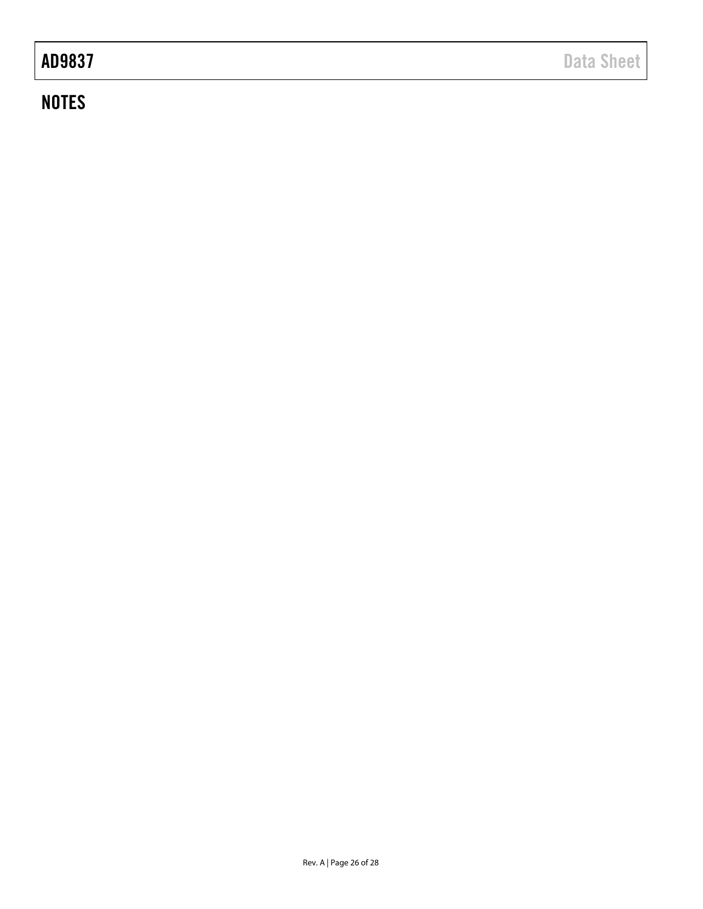# **NOTES**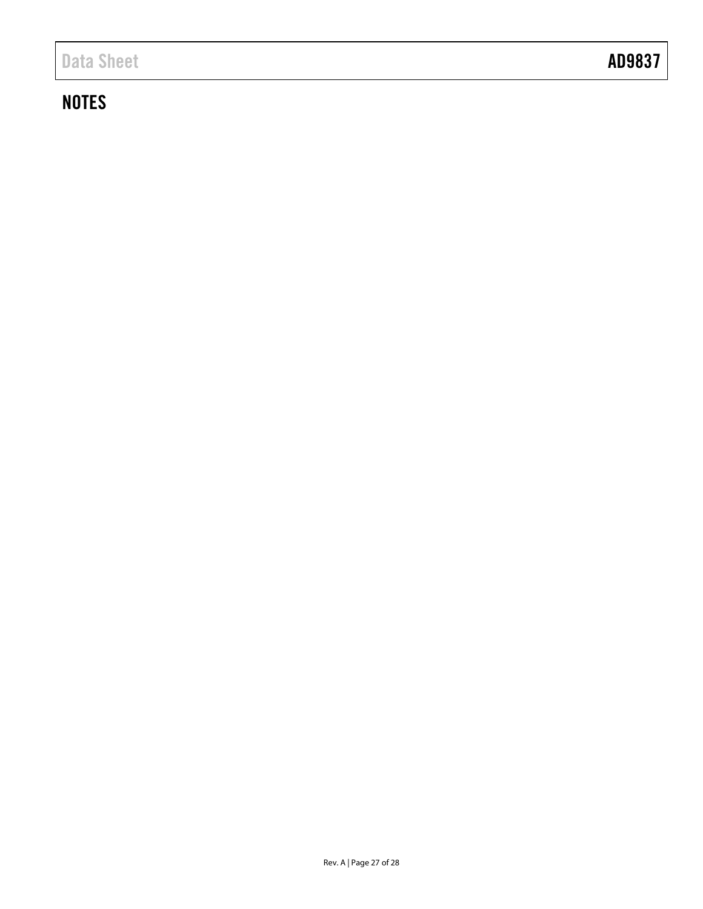# **NOTES**